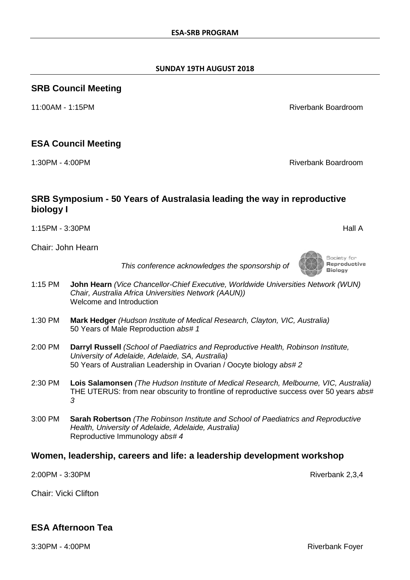Society for

Reproductive **Biology** 

#### **SUNDAY 19TH AUGUST 2018**

#### **SRB Council Meeting**

11:00AM - 1:15PM Riverbank Boardroom

#### **ESA Council Meeting**

1:30PM - 4:00PM Riverbank Boardroom

Chair: John Hearn

**biology I**

*This conference acknowledges the sponsorship of*

1:15PM - 3:30PM Hall A

**SRB Symposium - 50 Years of Australasia leading the way in reproductive** 

- 1:15 PM **John Hearn** *(Vice Chancellor-Chief Executive, Worldwide Universities Network (WUN) Chair, Australia Africa Universities Network (AAUN))* Welcome and Introduction
- 1:30 PM **Mark Hedger** *(Hudson Institute of Medical Research, Clayton, VIC, Australia)* 50 Years of Male Reproduction *abs# 1*
- 2:00 PM **Darryl Russell** *(School of Paediatrics and Reproductive Health, Robinson Institute, University of Adelaide, Adelaide, SA, Australia)* 50 Years of Australian Leadership in Ovarian / Oocyte biology *abs# 2*
- 2:30 PM **Lois Salamonsen** *(The Hudson Institute of Medical Research, Melbourne, VIC, Australia)* THE UTERUS: from near obscurity to frontline of reproductive success over 50 years *abs# 3*
- 3:00 PM **Sarah Robertson** *(The Robinson Institute and School of Paediatrics and Reproductive Health, University of Adelaide, Adelaide, Australia)* Reproductive Immunology *abs# 4*

#### **Women, leadership, careers and life: a leadership development workshop**

2:00PM - 3:30PM Riverbank 2,3,4

Chair: Vicki Clifton

#### **ESA Afternoon Tea**

3:30PM - 4:00PM Riverbank Foyer

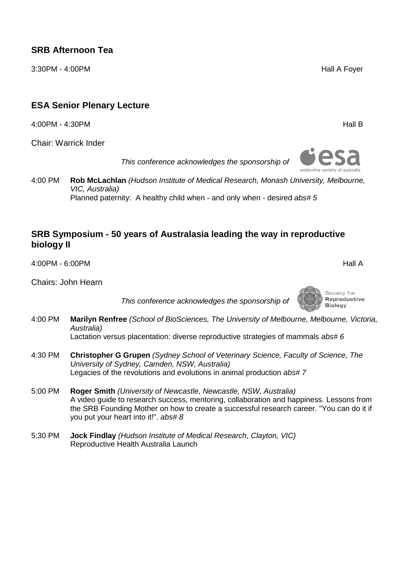3:30PM - 4:00PM Hall A Foyer

## **ESA Senior Plenary Lecture**

4:00PM - 4:30PM Hall B

Chair: Warrick Inder

*This conference acknowledges the sponsorship of*

4:00 PM **Rob McLachlan** *(Hudson Institute of Medical Research, Monash University, Melbourne, VIC, Australia)* Planned paternity: A healthy child when - and only when - desired *abs# 5* 

#### **SRB Symposium - 50 years of Australasia leading the way in reproductive biology II**

4:00PM - 6:00PM Hall A

Chairs: John Hearn

*This conference acknowledges the sponsorship of*

4:00 PM **Marilyn Renfree** *(School of BioSciences, The University of Melbourne, Melbourne, Victoria, Australia)*

Lactation versus placentation: diverse reproductive strategies of mammals *abs# 6* 

- 4:30 PM **Christopher G Grupen** *(Sydney School of Veterinary Science, Faculty of Science, The University of Sydney, Camden, NSW, Australia)* Legacies of the revolutions and evolutions in animal production *abs# 7*
- 5:00 PM **Roger Smith** *(University of Newcastle, Newcastle, NSW, Australia)* A video guide to research success, mentoring, collaboration and happiness. Lessons from the SRB Founding Mother on how to create a successful research career. "You can do it if you put your heart into it!". *abs# 8*
- 5:30 PM **Jock Findlay** *(Hudson Institute of Medical Research, Clayton, VIC)* Reproductive Health Australia Launch



Society for Reproductive **Biology**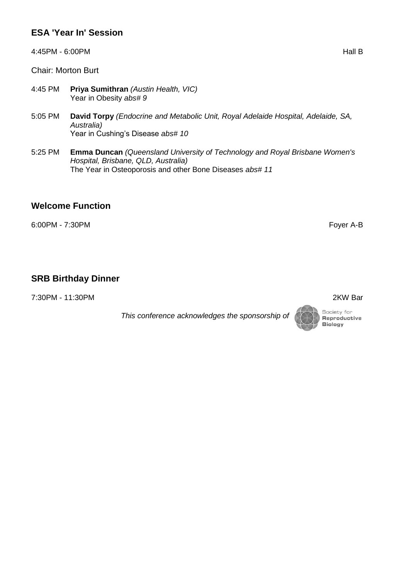## **ESA 'Year In' Session**

4:45PM - 6:00PM Hall B

Chair: Morton Burt

- 4:45 PM **Priya Sumithran** *(Austin Health, VIC)* Year in Obesity *abs# 9*
- 5:05 PM **David Torpy** *(Endocrine and Metabolic Unit, Royal Adelaide Hospital, Adelaide, SA, Australia)* Year in Cushing's Disease *abs# 10*
- 5:25 PM **Emma Duncan** *(Queensland University of Technology and Royal Brisbane Women's Hospital, Brisbane, QLD, Australia)* The Year in Osteoporosis and other Bone Diseases *abs# 11*

#### **Welcome Function**

6:00PM - 7:30PM Foyer A-B

#### **SRB Birthday Dinner**

7:30PM - 11:30PM 2KW Bar

*This conference acknowledges the sponsorship of*

Reproductive **Biology** 

Society for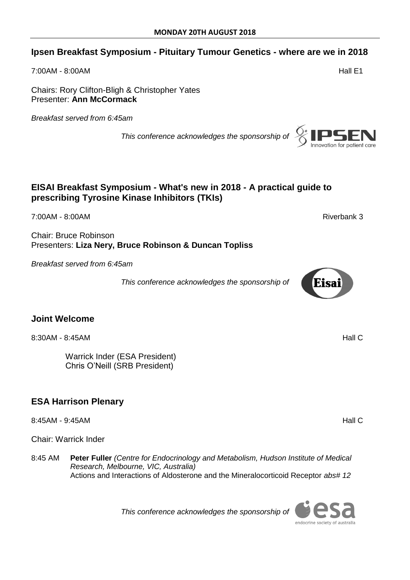#### **Ipsen Breakfast Symposium - Pituitary Tumour Genetics - where are we in 2018**

7:00AM - 8:00AM Hall E1

Chairs: Rory Clifton-Bligh & Christopher Yates Presenter: **Ann McCormack**

*Breakfast served from 6:45am*

*This conference acknowledges the sponsorship of*

#### **EISAI Breakfast Symposium - What's new in 2018 - A practical guide to prescribing Tyrosine Kinase Inhibitors (TKIs)**

7:00AM - 8:00AM Riverbank 3

Chair: Bruce Robinson Presenters: **Liza Nery, Bruce Robinson & Duncan Topliss**

*Breakfast served from 6:45am*

*This conference acknowledges the sponsorship of*

#### **Joint Welcome**

8:30AM - 8:45AM **Hall C** 

Warrick Inder (ESA President) Chris O'Neill (SRB President)

## **ESA Harrison Plenary**

8:45AM - 9:45AM Hall C

Chair: Warrick Inder

8:45 AM **Peter Fuller** *(Centre for Endocrinology and Metabolism, Hudson Institute of Medical Research, Melbourne, VIC, Australia)* Actions and Interactions of Aldosterone and the Mineralocorticoid Receptor *abs# 12* 

*This conference acknowledges the sponsorship of*







endocrine society of australia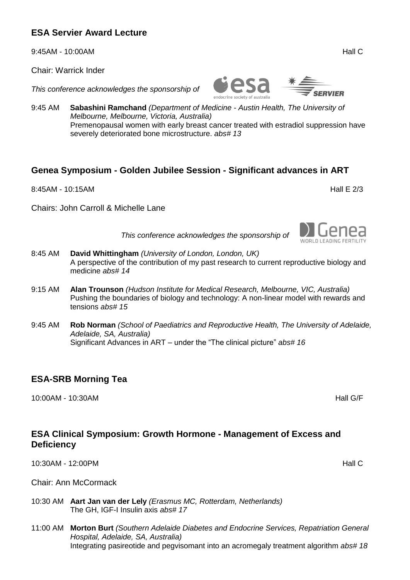9:45AM - 10:00AM **Hall C** 

Chair: Warrick Inder

*This conference acknowledges the sponsorship of*

9:45 AM **Sabashini Ramchand** *(Department of Medicine - Austin Health, The University of Melbourne, Melbourne, Victoria, Australia)* Premenopausal women with early breast cancer treated with estradiol suppression have severely deteriorated bone microstructure. *abs# 13*

ndocrine society of australia

#### **Genea Symposium - Golden Jubilee Session - Significant advances in ART**

8:45AM - 10:15AM **Hall E 2/3** 

Chairs: John Carroll & Michelle Lane

*This conference acknowledges the sponsorship of*

- 8:45 AM **David Whittingham** *(University of London, London, UK)* A perspective of the contribution of my past research to current reproductive biology and medicine *abs# 14*
- 9:15 AM **Alan Trounson** *(Hudson Institute for Medical Research, Melbourne, VIC, Australia)* Pushing the boundaries of biology and technology: A non-linear model with rewards and tensions *abs# 15*
- 9:45 AM **Rob Norman** *(School of Paediatrics and Reproductive Health, The University of Adelaide, Adelaide, SA, Australia)* Significant Advances in ART – under the "The clinical picture" *abs# 16*

## **ESA-SRB Morning Tea**

10:00AM - 10:30AM Hall G/F

## **ESA Clinical Symposium: Growth Hormone - Management of Excess and Deficiency**

10:30AM - 12:00PM Hall C

Chair: Ann McCormack

- 10:30 AM **Aart Jan van der Lely** *(Erasmus MC, Rotterdam, Netherlands)* The GH, IGF-I Insulin axis *abs# 17*
- 11:00 AM **Morton Burt** *(Southern Adelaide Diabetes and Endocrine Services, Repatriation General Hospital, Adelaide, SA, Australia)* Integrating pasireotide and pegvisomant into an acromegaly treatment algorithm *abs# 18*

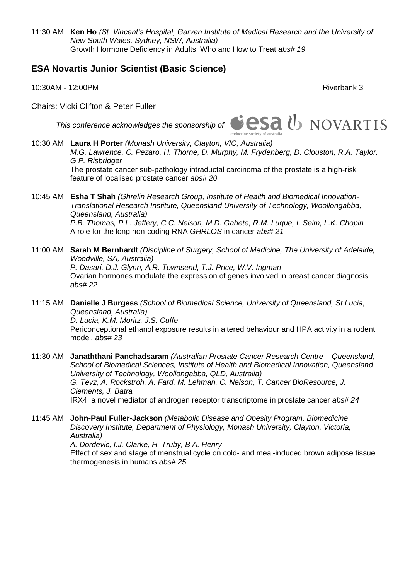11:30 AM **Ken Ho** *(St. Vincent's Hospital, Garvan Institute of Medical Research and the University of New South Wales, Sydney, NSW, Australia)* Growth Hormone Deficiency in Adults: Who and How to Treat *abs# 19* 

#### **ESA Novartis Junior Scientist (Basic Science)**

10:30AM - 12:00PM Riverbank 3

Chairs: Vicki Clifton & Peter Fuller



- 10:30 AM **Laura H Porter** *(Monash University, Clayton, VIC, Australia) M.G. Lawrence, C. Pezaro, H. Thorne, D. Murphy, M. Frydenberg, D. Clouston, R.A. Taylor, G.P. Risbridger* The prostate cancer sub-pathology intraductal carcinoma of the prostate is a high-risk feature of localised prostate cancer *abs# 20*
- 10:45 AM **Esha T Shah** *(Ghrelin Research Group, Institute of Health and Biomedical Innovation-Translational Research Institute, Queensland University of Technology, Woollongabba, Queensland, Australia) P.B. Thomas, P.L. Jeffery, C.C. Nelson, M.D. Gahete, R.M. Luque, I. Seim, L.K. Chopin* A role for the long non-coding RNA *GHRLOS* in cancer *abs# 21*
- 11:00 AM **Sarah M Bernhardt** *(Discipline of Surgery, School of Medicine, The University of Adelaide, Woodville, SA, Australia) P. Dasari, D.J. Glynn, A.R. Townsend, T.J. Price, W.V. Ingman* Ovarian hormones modulate the expression of genes involved in breast cancer diagnosis *abs# 22*
- 11:15 AM **Danielle J Burgess** *(School of Biomedical Science, University of Queensland, St Lucia, Queensland, Australia) D. Lucia, K.M. Moritz, J.S. Cuffe* Periconceptional ethanol exposure results in altered behaviour and HPA activity in a rodent model. *abs# 23*
- 11:30 AM **Janaththani Panchadsaram** *(Australian Prostate Cancer Research Centre – Queensland, School of Biomedical Sciences, Institute of Health and Biomedical Innovation, Queensland University of Technology, Woollongabba, QLD, Australia) G. Tevz, A. Rockstroh, A. Fard, M. Lehman, C. Nelson, T. Cancer BioResource, J. Clements, J. Batra* IRX4, a novel mediator of androgen receptor transcriptome in prostate cancer *abs# 24*
- 11:45 AM **John-Paul Fuller-Jackson** *(Metabolic Disease and Obesity Program, Biomedicine Discovery Institute, Department of Physiology, Monash University, Clayton, Victoria, Australia) A. Dordevic, I.J. Clarke, H. Truby, B.A. Henry* Effect of sex and stage of menstrual cycle on cold- and meal-induced brown adipose tissue thermogenesis in humans *abs# 25*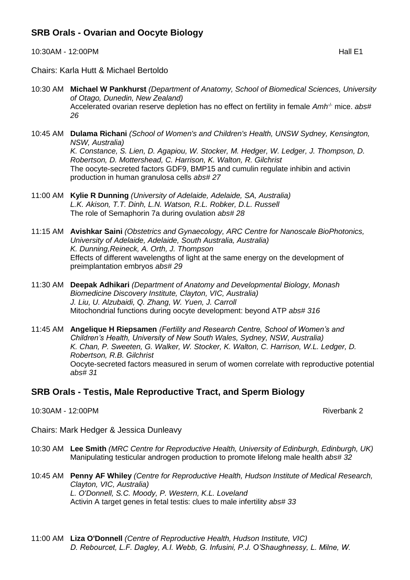## **SRB Orals - Ovarian and Oocyte Biology**

10:30AM - 12:00PM **Hall E1** 

Chairs: Karla Hutt & Michael Bertoldo

- 10:30 AM **Michael W Pankhurst** *(Department of Anatomy, School of Biomedical Sciences, University of Otago, Dunedin, New Zealand)* Accelerated ovarian reserve depletion has no effect on fertility in female Amh<sup>-/-</sup> mice. abs# *26*
- 10:45 AM **Dulama Richani** *(School of Women's and Children's Health, UNSW Sydney, Kensington, NSW, Australia) K. Constance, S. Lien, D. Agapiou, W. Stocker, M. Hedger, W. Ledger, J. Thompson, D. Robertson, D. Mottershead, C. Harrison, K. Walton, R. Gilchrist* The oocyte-secreted factors GDF9, BMP15 and cumulin regulate inhibin and activin production in human granulosa cells *abs# 27*
- 11:00 AM **Kylie R Dunning** *(University of Adelaide, Adelaide, SA, Australia) L.K. Akison, T.T. Dinh, L.N. Watson, R.L. Robker, D.L. Russell* The role of Semaphorin 7a during ovulation *abs# 28*
- 11:15 AM **Avishkar Saini** *(Obstetrics and Gynaecology, ARC Centre for Nanoscale BioPhotonics, University of Adelaide, Adelaide, South Australia, Australia) K. Dunning,Reineck, A. Orth, J. Thompson* Effects of different wavelengths of light at the same energy on the development of preimplantation embryos *abs# 29*
- 11:30 AM **Deepak Adhikari** *(Department of Anatomy and Developmental Biology, Monash Biomedicine Discovery Institute, Clayton, VIC, Australia) J. Liu, U. Alzubaidi, Q. Zhang, W. Yuen, J. Carroll* Mitochondrial functions during oocyte development: beyond ATP *abs# 316*
- 11:45 AM **Angelique H Riepsamen** *(Fertility and Research Centre, School of Women's and Children's Health, University of New South Wales, Sydney, NSW, Australia) K. Chan, P. Sweeten, G. Walker, W. Stocker, K. Walton, C. Harrison, W.L. Ledger, D. Robertson, R.B. Gilchrist* Oocyte-secreted factors measured in serum of women correlate with reproductive potential *abs# 31*

#### **SRB Orals - Testis, Male Reproductive Tract, and Sperm Biology**

10:30AM - 12:00PM Riverbank 2

Chairs: Mark Hedger & Jessica Dunleavy

- 10:30 AM **Lee Smith** *(MRC Centre for Reproductive Health, University of Edinburgh, Edinburgh, UK)* Manipulating testicular androgen production to promote lifelong male health *abs# 32*
- 10:45 AM **Penny AF Whiley** *(Centre for Reproductive Health, Hudson Institute of Medical Research, Clayton, VIC, Australia) L. O'Donnell, S.C. Moody, P. Western, K.L. Loveland* Activin A target genes in fetal testis: clues to male infertility *abs# 33*
- 11:00 AM **Liza O'Donnell** *(Centre of Reproductive Health, Hudson Institute, VIC) D. Rebourcet, L.F. Dagley, A.I. Webb, G. Infusini, P.J. O'Shaughnessy, L. Milne, W.*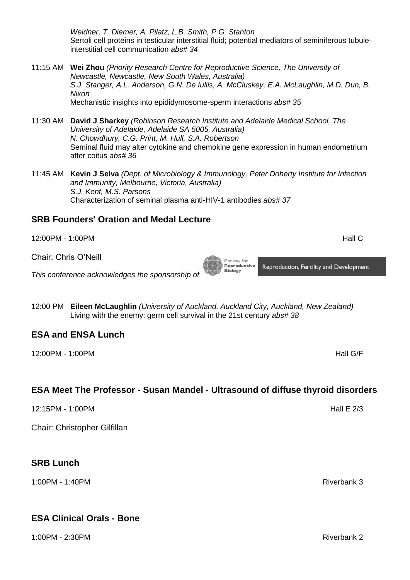*Weidner, T. Diemer, A. Pilatz, L.B. Smith, P.G. Stanton* Sertoli cell proteins in testicular interstitial fluid; potential mediators of seminiferous tubuleinterstitial cell communication *abs# 34* 

- 11:15 AM **Wei Zhou** *(Priority Research Centre for Reproductive Science, The University of Newcastle, Newcastle, New South Wales, Australia) S.J. Stanger, A.L. Anderson, G.N. De Iuliis, A. McCluskey, E.A. McLaughlin, M.D. Dun, B. Nixon* Mechanistic insights into epididymosome-sperm interactions *abs# 35*
- 11:30 AM **David J Sharkey** *(Robinson Research Institute and Adelaide Medical School, The University of Adelaide, Adelaide SA 5005, Australia) N. Chowdhury, C.G. Print, M. Hull, S.A. Robertson* Seminal fluid may alter cytokine and chemokine gene expression in human endometrium after coitus *abs# 36*
- 11:45 AM **Kevin J Selva** *(Dept. of Microbiology & Immunology, Peter Doherty Institute for Infection and Immunity, Melbourne, Victoria, Australia) S.J. Kent, M.S. Parsons* Characterization of seminal plasma anti-HIV-1 antibodies *abs# 37*

#### **SRB Founders' Oration and Medal Lecture**

12:00PM - 1:00PM Hall C

Chair: Chris O'Neill

*This conference acknowledges the sponsorship of*

12:00 PM **Eileen McLaughlin** *(University of Auckland, Auckland City, Auckland, New Zealand)* Living with the enemy: germ cell survival in the 21st century *abs# 38* 

#### **ESA and ENSA Lunch**

12:00PM - 1:00PM Hall G/F

## **ESA Meet The Professor - Susan Mandel - Ultrasound of diffuse thyroid disorders**

12:15PM - 1:00PM Hall E 2/3

Chair: Christopher Gilfillan

#### **SRB Lunch**

1:00PM - 1:40PM Riverbank 3

#### **ESA Clinical Orals - Bone**

1:00PM - 2:30PM Riverbank 2

Society for<br>**Reproductive Biology** 

Reproduction, Fertility and Development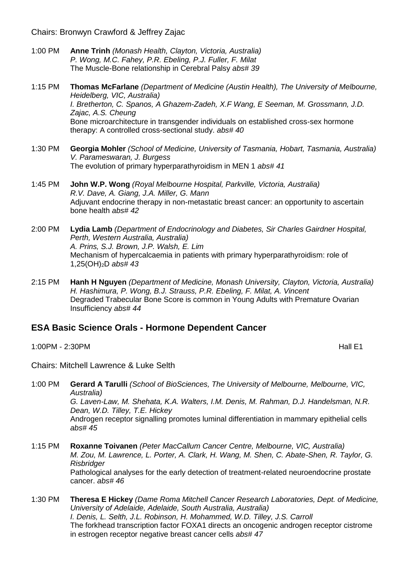Chairs: Bronwyn Crawford & Jeffrey Zajac

- 1:00 PM **Anne Trinh** *(Monash Health, Clayton, Victoria, Australia) P. Wong, M.C. Fahey, P.R. Ebeling, P.J. Fuller, F. Milat* The Muscle-Bone relationship in Cerebral Palsy *abs# 39*
- 1:15 PM **Thomas McFarlane** *(Department of Medicine (Austin Health), The University of Melbourne, Heidelberg, VIC, Australia) I. Bretherton, C. Spanos, A Ghazem-Zadeh, X.F Wang, E Seeman, M. Grossmann, J.D. Zajac, A.S. Cheung* Bone microarchitecture in transgender individuals on established cross-sex hormone therapy: A controlled cross-sectional study. *abs# 40*
- 1:30 PM **Georgia Mohler** *(School of Medicine, University of Tasmania, Hobart, Tasmania, Australia) V. Parameswaran, J. Burgess* The evolution of primary hyperparathyroidism in MEN 1 *abs# 41*
- 1:45 PM **John W.P. Wong** *(Royal Melbourne Hospital, Parkville, Victoria, Australia) R.V. Dave, A. Giang, J.A. Miller, G. Mann* Adjuvant endocrine therapy in non-metastatic breast cancer: an opportunity to ascertain bone health *abs# 42*
- 2:00 PM **Lydia Lamb** *(Department of Endocrinology and Diabetes, Sir Charles Gairdner Hospital, Perth, Western Australia, Australia) A. Prins, S.J. Brown, J.P. Walsh, E. Lim* Mechanism of hypercalcaemia in patients with primary hyperparathyroidism: role of 1,25(OH)2D *abs# 43*
- 2:15 PM **Hanh H Nguyen** *(Department of Medicine, Monash University, Clayton, Victoria, Australia) H. Hashimura, P. Wong, B.J. Strauss, P.R. Ebeling, F. Milat, A. Vincent* Degraded Trabecular Bone Score is common in Young Adults with Premature Ovarian Insufficiency *abs# 44*

#### **ESA Basic Science Orals - Hormone Dependent Cancer**

1:00PM - 2:30PM Hall E1

Chairs: Mitchell Lawrence & Luke Selth

- 1:00 PM **Gerard A Tarulli** *(School of BioSciences, The University of Melbourne, Melbourne, VIC, Australia) G. Laven-Law, M. Shehata, K.A. Walters, I.M. Denis, M. Rahman, D.J. Handelsman, N.R. Dean, W.D. Tilley, T.E. Hickey* Androgen receptor signalling promotes luminal differentiation in mammary epithelial cells *abs# 45*
- 1:15 PM **Roxanne Toivanen** *(Peter MacCallum Cancer Centre, Melbourne, VIC, Australia) M. Zou, M. Lawrence, L. Porter, A. Clark, H. Wang, M. Shen, C. Abate-Shen, R. Taylor, G. Risbridger* Pathological analyses for the early detection of treatment-related neuroendocrine prostate cancer. *abs# 46*
- 1:30 PM **Theresa E Hickey** *(Dame Roma Mitchell Cancer Research Laboratories, Dept. of Medicine, University of Adelaide, Adelaide, South Australia, Australia) I. Denis, L. Selth, J.L. Robinson, H. Mohammed, W.D. Tilley, J.S. Carroll* The forkhead transcription factor FOXA1 directs an oncogenic androgen receptor cistrome in estrogen receptor negative breast cancer cells *abs# 47*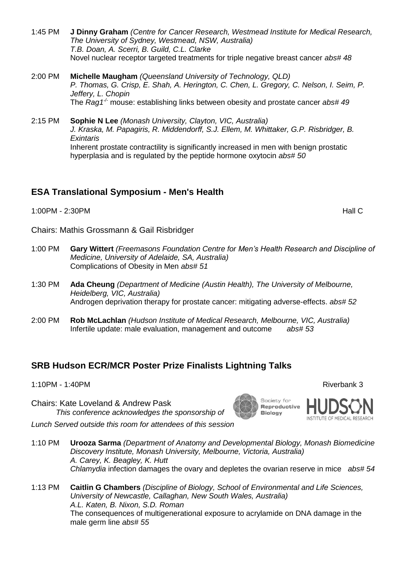- 1:45 PM **J Dinny Graham** *(Centre for Cancer Research, Westmead Institute for Medical Research, The University of Sydney, Westmead, NSW, Australia) T.B. Doan, A. Scerri, B. Guild, C.L. Clarke* Novel nuclear receptor targeted treatments for triple negative breast cancer *abs# 48*
- 2:00 PM **Michelle Maugham** *(Queensland University of Technology, QLD) P. Thomas, G. Crisp, E. Shah, A. Herington, C. Chen, L. Gregory, C. Nelson, I. Seim, P. Jeffery, L. Chopin* The *Rag1-/-* mouse: establishing links between obesity and prostate cancer *abs# 49*
- 2:15 PM **Sophie N Lee** *(Monash University, Clayton, VIC, Australia) J. Kraska, M. Papagiris, R. Middendorff, S.J. Ellem, M. Whittaker, G.P. Risbridger, B. Exintaris* Inherent prostate contractility is significantly increased in men with benign prostatic hyperplasia and is regulated by the peptide hormone oxytocin *abs# 50*

## **ESA Translational Symposium - Men's Health**

1:00PM - 2:30PM Hall C

Chairs: Mathis Grossmann & Gail Risbridger

- 1:00 PM **Gary Wittert** *(Freemasons Foundation Centre for Men's Health Research and Discipline of Medicine, University of Adelaide, SA, Australia)* Complications of Obesity in Men *abs# 51*
- 1:30 PM **Ada Cheung** *(Department of Medicine (Austin Health), The University of Melbourne, Heidelberg, VIC, Australia)* Androgen deprivation therapy for prostate cancer: mitigating adverse-effects. *abs# 52*
- 2:00 PM **Rob McLachlan** *(Hudson Institute of Medical Research, Melbourne, VIC, Australia)* Infertile update: male evaluation, management and outcome *abs# 53*

#### **SRB Hudson ECR/MCR Poster Prize Finalists Lightning Talks**

- 1:10PM 1:40PM Riverbank 3
- Chairs: Kate Loveland & Andrew Pask *This conference acknowledges the sponsorship of*

*Lunch Served outside this room for attendees of this session*

- 1:10 PM **Urooza Sarma** *(Department of Anatomy and Developmental Biology, Monash Biomedicine Discovery Institute, Monash University, Melbourne, Victoria, Australia) A. Carey, K. Beagley, K. Hutt Chlamydia* infection damages the ovary and depletes the ovarian reserve in mice *abs# 54*
- 1:13 PM **Caitlin G Chambers** *(Discipline of Biology, School of Environmental and Life Sciences, University of Newcastle, Callaghan, New South Wales, Australia) A.L. Katen, B. Nixon, S.D. Roman* The consequences of multigenerational exposure to acrylamide on DNA damage in the male germ line *abs# 55*



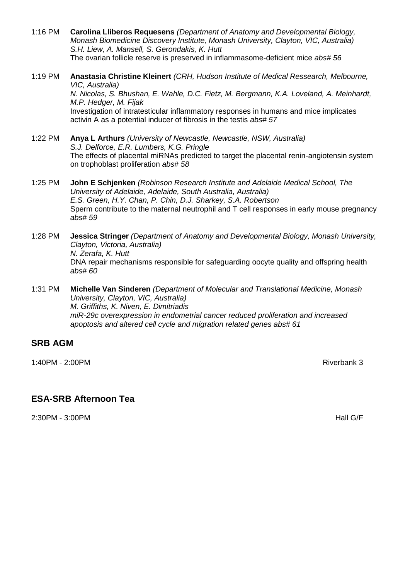- 1:16 PM **Carolina Lliberos Requesens** *(Department of Anatomy and Developmental Biology, Monash Biomedicine Discovery Institute, Monash University, Clayton, VIC, Australia) S.H. Liew, A. Mansell, S. Gerondakis, K. Hutt* The ovarian follicle reserve is preserved in inflammasome-deficient mice *abs# 56*
- 1:19 PM **Anastasia Christine Kleinert** *(CRH, Hudson Institute of Medical Ressearch, Melbourne, VIC, Australia)*

*N. Nicolas, S. Bhushan, E. Wahle, D.C. Fietz, M. Bergmann, K.A. Loveland, A. Meinhardt, M.P. Hedger, M. Fijak* Investigation of intratesticular inflammatory responses in humans and mice implicates activin A as a potential inducer of fibrosis in the testis *abs# 57* 

1:22 PM **Anya L Arthurs** *(University of Newcastle, Newcastle, NSW, Australia) S.J. Delforce, E.R. Lumbers, K.G. Pringle* The effects of placental miRNAs predicted to target the placental renin-angiotensin system on trophoblast proliferation *abs# 58* 

- 1:25 PM **John E Schjenken** *(Robinson Research Institute and Adelaide Medical School, The University of Adelaide, Adelaide, South Australia, Australia) E.S. Green, H.Y. Chan, P. Chin, D.J. Sharkey, S.A. Robertson* Sperm contribute to the maternal neutrophil and T cell responses in early mouse pregnancy *abs# 59*
- 1:28 PM **Jessica Stringer** *(Department of Anatomy and Developmental Biology, Monash University, Clayton, Victoria, Australia) N. Zerafa, K. Hutt* DNA repair mechanisms responsible for safeguarding oocyte quality and offspring health *abs# 60*
- 1:31 PM **Michelle Van Sinderen** *(Department of Molecular and Translational Medicine, Monash University, Clayton, VIC, Australia) M. Griffiths, K. Niven, E. Dimitriadis miR-29c overexpression in endometrial cancer reduced proliferation and increased apoptosis and altered cell cycle and migration related genes abs# 61*

#### **SRB AGM**

1:40PM - 2:00PM **Riverbank 3** 

## **ESA-SRB Afternoon Tea**

2:30PM - 3:00PM Hall G/F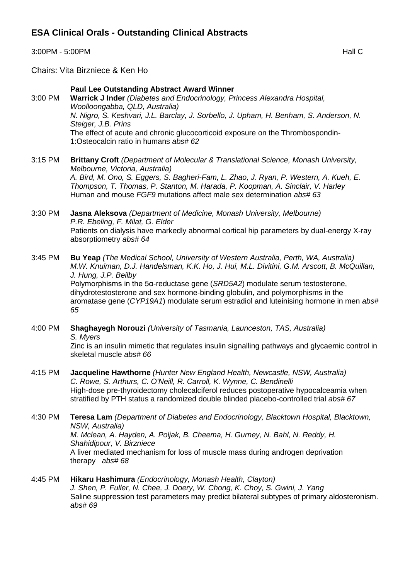3:00PM - 5:00PM Hall C

Chairs: Vita Birzniece & Ken Ho

#### **Paul Lee Outstanding Abstract Award Winner**

3:00 PM **Warrick J Inder** *(Diabetes and Endocrinology, Princess Alexandra Hospital, Woolloongabba, QLD, Australia) N. Nigro, S. Keshvari, J.L. Barclay, J. Sorbello, J. Upham, H. Benham, S. Anderson, N. Steiger, J.B. Prins* The effect of acute and chronic glucocorticoid exposure on the Thrombospondin-1:Osteocalcin ratio in humans *abs# 62* 

3:15 PM **Brittany Croft** *(Department of Molecular & Translational Science, Monash University, Melbourne, Victoria, Australia) A. Bird, M. Ono, S. Eggers, S. Bagheri-Fam, L. Zhao, J. Ryan, P. Western, A. Kueh, E. Thompson, T. Thomas, P. Stanton, M. Harada, P. Koopman, A. Sinclair, V. Harley* Human and mouse *FGF9* mutations affect male sex determination *abs# 63* 

3:30 PM **Jasna Aleksova** *(Department of Medicine, Monash University, Melbourne) P.R. Ebeling, F. Milat, G. Elder* Patients on dialysis have markedly abnormal cortical hip parameters by dual-energy X-ray absorptiometry *abs# 64* 

3:45 PM **Bu Yeap** *(The Medical School, University of Western Australia, Perth, WA, Australia) M.W. Knuiman, D.J. Handelsman, K.K. Ho, J. Hui, M.L. Divitini, G.M. Arscott, B. McQuillan, J. Hung, J.P. Beilby* Polymorphisms in the 5α-reductase gene (*SRD5A2*) modulate serum testosterone, dihydrotestosterone and sex hormone-binding globulin, and polymorphisms in the aromatase gene (*CYP19A1*) modulate serum estradiol and luteinising hormone in men *abs# 65* 

4:00 PM **Shaghayegh Norouzi** *(University of Tasmania, Launceston, TAS, Australia) S. Myers* Zinc is an insulin mimetic that regulates insulin signalling pathways and glycaemic control in skeletal muscle *abs# 66* 

4:15 PM **Jacqueline Hawthorne** *(Hunter New England Health, Newcastle, NSW, Australia) C. Rowe, S. Arthurs, C. O'Neill, R. Carroll, K. Wynne, C. Bendinelli* High-dose pre-thyroidectomy cholecalciferol reduces postoperative hypocalceamia when stratified by PTH status a randomized double blinded placebo-controlled trial *abs# 67* 

4:30 PM **Teresa Lam** *(Department of Diabetes and Endocrinology, Blacktown Hospital, Blacktown, NSW, Australia) M. Mclean, A. Hayden, A. Poljak, B. Cheema, H. Gurney, N. Bahl, N. Reddy, H. Shahidipour, V. Birzniece* A liver mediated mechanism for loss of muscle mass during androgen deprivation therapy *abs# 68* 

4:45 PM **Hikaru Hashimura** *(Endocrinology, Monash Health, Clayton) J. Shen, P. Fuller, N. Chee, J. Doery, W. Chong, K. Choy, S. Gwini, J. Yang* Saline suppression test parameters may predict bilateral subtypes of primary aldosteronism. *abs# 69*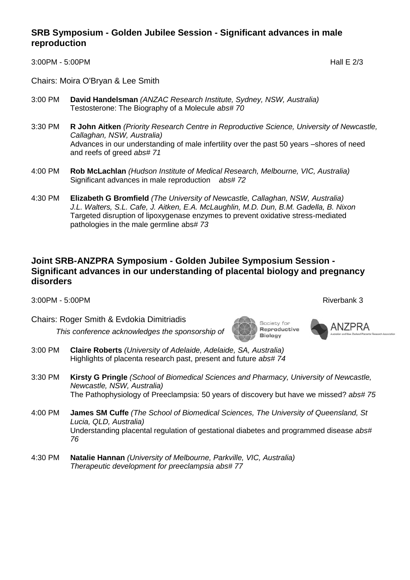#### **SRB Symposium - Golden Jubilee Session - Significant advances in male reproduction**

3:00PM - 5:00PM Hall E 2/3

Chairs: Moira O'Bryan & Lee Smith

- 3:00 PM **David Handelsman** *(ANZAC Research Institute, Sydney, NSW, Australia)* Testosterone: The Biography of a Molecule *abs# 70*
- 3:30 PM **R John Aitken** *(Priority Research Centre in Reproductive Science, University of Newcastle, Callaghan, NSW, Australia)* Advances in our understanding of male infertility over the past 50 years –shores of need and reefs of greed *abs# 71*
- 4:00 PM **Rob McLachlan** *(Hudson Institute of Medical Research, Melbourne, VIC, Australia)* Significant advances in male reproduction *abs# 72*
- 4:30 PM **Elizabeth G Bromfield** *(The University of Newcastle, Callaghan, NSW, Australia) J.L. Walters, S.L. Cafe, J. Aitken, E.A. McLaughlin, M.D. Dun, B.M. Gadella, B. Nixon* Targeted disruption of lipoxygenase enzymes to prevent oxidative stress-mediated pathologies in the male germline abs*# 73*

#### **Joint SRB-ANZPRA Symposium - Golden Jubilee Symposium Session - Significant advances in our understanding of placental biology and pregnancy disorders**

3:00PM - 5:00PM **Riverbank 3** 

Chairs: Roger Smith & Evdokia Dimitriadis

*This conference acknowledges the sponsorship of*

- 3:00 PM **Claire Roberts** *(University of Adelaide, Adelaide, SA, Australia)* Highlights of placenta research past, present and future *abs# 74*
- 3:30 PM **Kirsty G Pringle** *(School of Biomedical Sciences and Pharmacy, University of Newcastle, Newcastle, NSW, Australia)* The Pathophysiology of Preeclampsia: 50 years of discovery but have we missed? *abs# 75*
- 4:00 PM **James SM Cuffe** *(The School of Biomedical Sciences, The University of Queensland, St Lucia, QLD, Australia)* Understanding placental regulation of gestational diabetes and programmed disease *abs# 76*
- 4:30 PM **Natalie Hannan** *(University of Melbourne, Parkville, VIC, Australia) Therapeutic development for preeclampsia abs# 77*

**ANZPRA** 

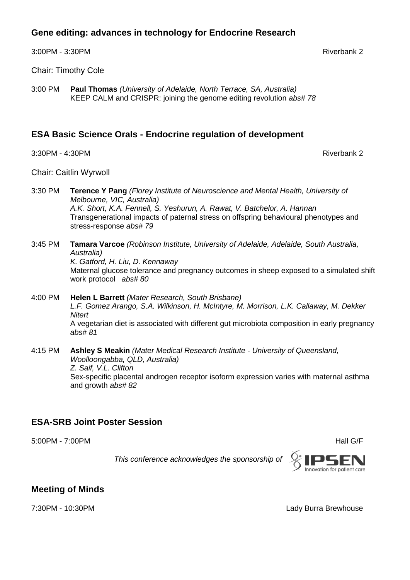#### **Gene editing: advances in technology for Endocrine Research**

3:00PM - 3:30PM Riverbank 2

Chair: Timothy Cole

3:00 PM **Paul Thomas** *(University of Adelaide, North Terrace, SA, Australia)* KEEP CALM and CRISPR: joining the genome editing revolution *abs# 78* 

## **ESA Basic Science Orals - Endocrine regulation of development**

3:30PM - 4:30PM  $\overline{a}$ 

Chair: Caitlin Wyrwoll

- 3:30 PM **Terence Y Pang** *(Florey Institute of Neuroscience and Mental Health, University of Melbourne, VIC, Australia) A.K. Short, K.A. Fennell, S. Yeshurun, A. Rawat, V. Batchelor, A. Hannan* Transgenerational impacts of paternal stress on offspring behavioural phenotypes and stress-response *abs# 79*
- 3:45 PM **Tamara Varcoe** *(Robinson Institute, University of Adelaide, Adelaide, South Australia, Australia) K. Gatford, H. Liu, D. Kennaway* Maternal glucose tolerance and pregnancy outcomes in sheep exposed to a simulated shift work protocol *abs# 80*
- 4:00 PM **Helen L Barrett** *(Mater Research, South Brisbane) L.F. Gomez Arango, S.A. Wilkinson, H. McIntyre, M. Morrison, L.K. Callaway, M. Dekker Nitert* A vegetarian diet is associated with different gut microbiota composition in early pregnancy *abs# 81*
- 4:15 PM **Ashley S Meakin** *(Mater Medical Research Institute - University of Queensland, Woolloongabba, QLD, Australia) Z. Saif, V.L. Clifton* Sex-specific placental androgen receptor isoform expression varies with maternal asthma and growth *abs# 82*

## **ESA-SRB Joint Poster Session**

5:00PM - 7:00PM Hall G/F



## **Meeting of Minds**

7:30PM - 10:30PM Lady Burra Brewhouse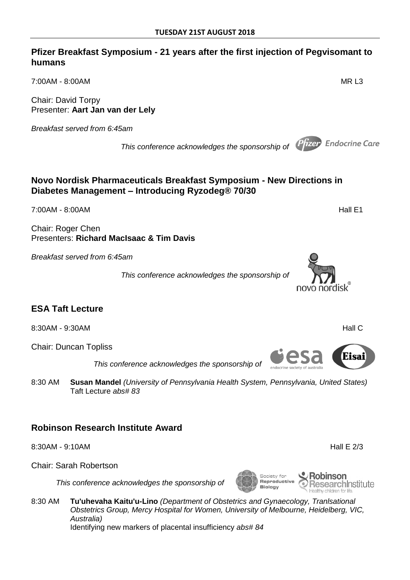#### **Pfizer Breakfast Symposium - 21 years after the first injection of Pegvisomant to humans**

7:00AM - 8:00AM MR L3

Chair: David Torpy Presenter: **Aart Jan van der Lely**

*Breakfast served from 6:45am*

*This conference acknowledges the sponsorship of*

## **Novo Nordisk Pharmaceuticals Breakfast Symposium - New Directions in Diabetes Management – Introducing Ryzodeg® 70/30**

7:00AM - 8:00AM Hall E1

Chair: Roger Chen Presenters: **Richard MacIsaac & Tim Davis**

*Breakfast served from 6:45am*

*This conference acknowledges the sponsorship of*

## **ESA Taft Lecture**

8:30AM - 9:30AM Hall C

Chair: Duncan Topliss

 *This conference acknowledges the sponsorship of*

8:30 AM **Susan Mandel** *(University of Pennsylvania Health System, Pennsylvania, United States)* Taft Lecture *abs# 83* 

## **Robinson Research Institute Award**

8:30AM - 9:10AM **Hall E 2/3** 

Chair: Sarah Robertson

*This conference acknowledges the sponsorship of*

8:30 AM **Tu'uhevaha Kaitu'u-Lino** *(Department of Obstetrics and Gynaecology, Tranlsational Obstetrics Group, Mercy Hospital for Women, University of Melbourne, Heidelberg, VIC, Australia)* Identifying new markers of placental insufficiency *abs# 84* 









Society for

**Biology** 

Reproductive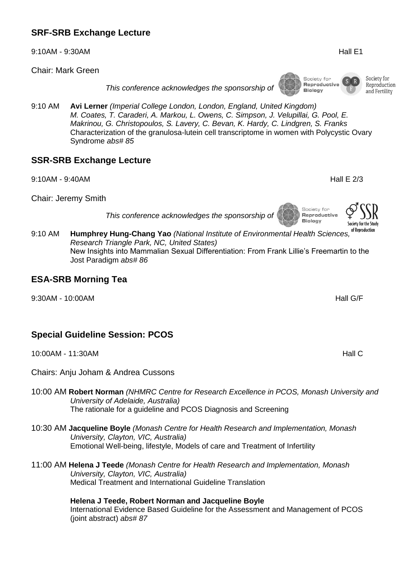## **SRF-SRB Exchange Lecture**

9:10AM - 9:30AM **Hall E1** 

Chair: Mark Green

*This conference acknowledges the sponsorship of*

9:10 AM **Avi Lerner** *(Imperial College London, London, England, United Kingdom) M. Coates, T. Caraderi, A. Markou, L. Owens, C. Simpson, J. Velupillai, G. Pool, E. Makrinou, G. Christopoulos, S. Lavery, C. Bevan, K. Hardy, C. Lindgren, S. Franks* Characterization of the granulosa-lutein cell transcriptome in women with Polycystic Ovary Syndrome *abs# 85* 

#### **SSR-SRB Exchange Lecture**

9:10AM - 9:40AM Hall E 2/3

Chair: Jeremy Smith

*This conference acknowledges the sponsorship of*

9:10 AM **Humphrey Hung-Chang Yao** *(National Institute of Environmental Health Sciences, Research Triangle Park, NC, United States)* New Insights into Mammalian Sexual Differentiation: From Frank Lillie's Freemartin to the Jost Paradigm *abs# 86* 

#### **ESA-SRB Morning Tea**

9:30AM - 10:00AM Hall G/F

## **Special Guideline Session: PCOS**

10:00AM - 11:30AM AND CONSERVERSE ENTIRE A SERVERSE ENTREMINING THE SERVERS OF THE SERVERS OF THE SERVERS OF T

Chairs: Anju Joham & Andrea Cussons

#### 10:00 AM **Robert Norman** *(NHMRC Centre for Research Excellence in PCOS, Monash University and University of Adelaide, Australia)* The rationale for a guideline and PCOS Diagnosis and Screening

10:30 AM **Jacqueline Boyle** *(Monash Centre for Health Research and Implementation, Monash University, Clayton, VIC, Australia)* Emotional Well-being, lifestyle, Models of care and Treatment of Infertility

#### 11:00 AM **Helena J Teede** *(Monash Centre for Health Research and Implementation, Monash University, Clayton, VIC, Australia)* Medical Treatment and International Guideline Translation

**Helena J Teede, Robert Norman and Jacqueline Boyle** International Evidence Based Guideline for the Assessment and Management of PCOS (joint abstract) *abs# 87* 

Society for Reproduction and Fertility

Society for Reproductive **Biology** 

Society for Reproductive

**Biology**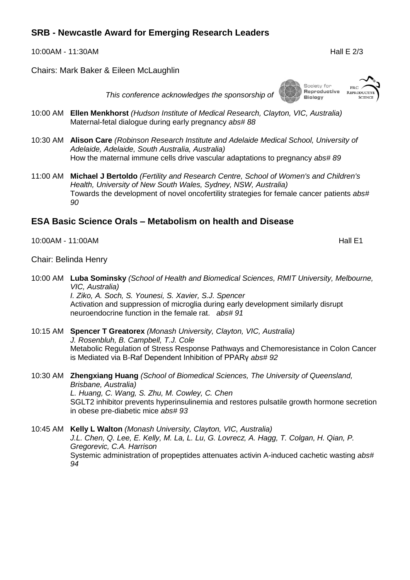## **SRB - Newcastle Award for Emerging Research Leaders**

10:00AM - 11:30AM Hall E 2/3

Chairs: Mark Baker & Eileen McLaughlin

*This conference acknowledges the sponsorship of*

- 10:00 AM **Ellen Menkhorst** *(Hudson Institute of Medical Research, Clayton, VIC, Australia)* Maternal-fetal dialogue during early pregnancy *abs# 88*
- 10:30 AM **Alison Care** *(Robinson Research Institute and Adelaide Medical School, University of Adelaide, Adelaide, South Australia, Australia)* How the maternal immune cells drive vascular adaptations to pregnancy *abs# 89*
- 11:00 AM **Michael J Bertoldo** *(Fertility and Research Centre, School of Women's and Children's Health, University of New South Wales, Sydney, NSW, Australia)* Towards the development of novel oncofertility strategies for female cancer patients *abs# 90*

#### **ESA Basic Science Orals – Metabolism on health and Disease**

10:00AM - 11:00AM Hall E1

Chair: Belinda Henry

10:00 AM **Luba Sominsky** *(School of Health and Biomedical Sciences, RMIT University, Melbourne, VIC, Australia)*

*I. Ziko, A. Soch, S. Younesi, S. Xavier, S.J. Spencer* Activation and suppression of microglia during early development similarly disrupt neuroendocrine function in the female rat. *abs# 91* 

- 10:15 AM **Spencer T Greatorex** *(Monash University, Clayton, VIC, Australia) J. Rosenbluh, B. Campbell, T.J. Cole* Metabolic Regulation of Stress Response Pathways and Chemoresistance in Colon Cancer is Mediated via B-Raf Dependent Inhibition of PPARγ *abs# 92*
- 10:30 AM **Zhengxiang Huang** *(School of Biomedical Sciences, The University of Queensland, Brisbane, Australia) L. Huang, C. Wang, S. Zhu, M. Cowley, C. Chen* SGLT2 inhibitor prevents hyperinsulinemia and restores pulsatile growth hormone secretion in obese pre-diabetic mice *abs# 93*

10:45 AM **Kelly L Walton** *(Monash University, Clayton, VIC, Australia) J.L. Chen, Q. Lee, E. Kelly, M. La, L. Lu, G. Lovrecz, A. Hagg, T. Colgan, H. Qian, P. Gregorevic, C.A. Harrison* Systemic administration of propeptides attenuates activin A-induced cachetic wasting *abs# 94* 





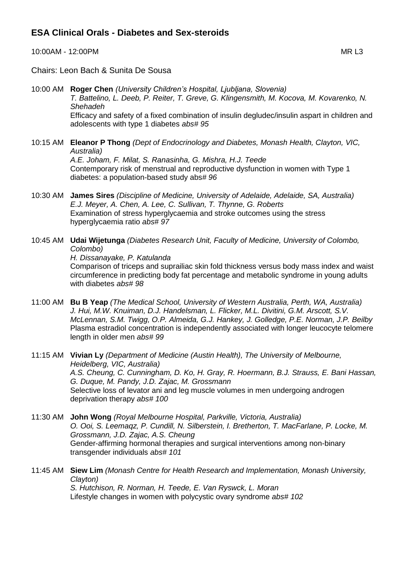#### **ESA Clinical Orals - Diabetes and Sex-steroids**

10:00AM - 12:00PM MR L3

Chairs: Leon Bach & Sunita De Sousa

- 10:00 AM **Roger Chen** *(University Children's Hospital, Ljubljana, Slovenia) T. Battelino, L. Deeb, P. Reiter, T. Greve, G. Klingensmith, M. Kocova, M. Kovarenko, N. Shehadeh* Efficacy and safety of a fixed combination of insulin degludec/insulin aspart in children and adolescents with type 1 diabetes *abs# 95*
- 10:15 AM **Eleanor P Thong** *(Dept of Endocrinology and Diabetes, Monash Health, Clayton, VIC, Australia) A.E. Joham, F. Milat, S. Ranasinha, G. Mishra, H.J. Teede* Contemporary risk of menstrual and reproductive dysfunction in women with Type 1 diabetes: a population-based study abs*# 96*
- 10:30 AM **James Sires** *(Discipline of Medicine, University of Adelaide, Adelaide, SA, Australia) E.J. Meyer, A. Chen, A. Lee, C. Sullivan, T. Thynne, G. Roberts* Examination of stress hyperglycaemia and stroke outcomes using the stress hyperglycaemia ratio *abs# 97*
- 10:45 AM **Udai Wijetunga** *(Diabetes Research Unit, Faculty of Medicine, University of Colombo, Colombo)*

*H. Dissanayake, P. Katulanda*

Comparison of triceps and suprailiac skin fold thickness versus body mass index and waist circumference in predicting body fat percentage and metabolic syndrome in young adults with diabetes *abs# 98* 

- 11:00 AM **Bu B Yeap** *(The Medical School, University of Western Australia, Perth, WA, Australia) J. Hui, M.W. Knuiman, D.J. Handelsman, L. Flicker, M.L. Divitini, G.M. Arscott, S.V. McLennan, S.M. Twigg, O.P. Almeida, G.J. Hankey, J. Golledge, P.E. Norman, J.P. Beilby* Plasma estradiol concentration is independently associated with longer leucocyte telomere length in older men *abs# 99*
- 11:15 AM **Vivian Ly** *(Department of Medicine (Austin Health), The University of Melbourne, Heidelberg, VIC, Australia) A.S. Cheung, C. Cunningham, D. Ko, H. Gray, R. Hoermann, B.J. Strauss, E. Bani Hassan, G. Duque, M. Pandy, J.D. Zajac, M. Grossmann* Selective loss of levator ani and leg muscle volumes in men undergoing androgen deprivation therapy *abs# 100*
- 11:30 AM **John Wong** *(Royal Melbourne Hospital, Parkville, Victoria, Australia) O. Ooi, S. Leemaqz, P. Cundill, N. Silberstein, I. Bretherton, T. MacFarlane, P. Locke, M. Grossmann, J.D. Zajac, A.S. Cheung* Gender-affirming hormonal therapies and surgical interventions among non-binary transgender individuals *abs# 101*
- 11:45 AM **Siew Lim** *(Monash Centre for Health Research and Implementation, Monash University, Clayton) S. Hutchison, R. Norman, H. Teede, E. Van Ryswck, L. Moran* Lifestyle changes in women with polycystic ovary syndrome *abs# 102*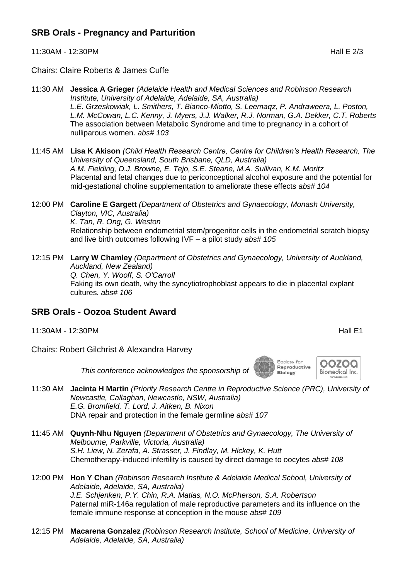## **SRB Orals - Pregnancy and Parturition**

11:30AM - 12:30PM Hall E 2/3

Chairs: Claire Roberts & James Cuffe

- 11:30 AM **Jessica A Grieger** *(Adelaide Health and Medical Sciences and Robinson Research Institute, University of Adelaide, Adelaide, SA, Australia) L.E. Grzeskowiak, L. Smithers, T. Bianco-Miotto, S. Leemaqz, P. Andraweera, L. Poston, L.M. McCowan, L.C. Kenny, J. Myers, J.J. Walker, R.J. Norman, G.A. Dekker, C.T. Roberts* The association between Metabolic Syndrome and time to pregnancy in a cohort of nulliparous women. *abs# 103*
- 11:45 AM **Lisa K Akison** *(Child Health Research Centre, Centre for Children's Health Research, The University of Queensland, South Brisbane, QLD, Australia) A.M. Fielding, D.J. Browne, E. Tejo, S.E. Steane, M.A. Sullivan, K.M. Moritz* Placental and fetal changes due to periconceptional alcohol exposure and the potential for mid-gestational choline supplementation to ameliorate these effects *abs# 104*
- 12:00 PM **Caroline E Gargett** *(Department of Obstetrics and Gynaecology, Monash University, Clayton, VIC, Australia) K. Tan, R. Ong, G. Weston* Relationship between endometrial stem/progenitor cells in the endometrial scratch biopsy and live birth outcomes following IVF – a pilot study *abs# 105*
- 12:15 PM **Larry W Chamley** *(Department of Obstetrics and Gynaecology, University of Auckland, Auckland, New Zealand) Q. Chen, Y. Wooff, S. O'Carroll* Faking its own death, why the syncytiotrophoblast appears to die in placental explant cultures. *abs# 106*

#### **SRB Orals - Oozoa Student Award**

- 11:30AM 12:30PM Hall E1
- Chairs: Robert Gilchrist & Alexandra Harvey

*This conference acknowledges the sponsorship of*

- 11:30 AM **Jacinta H Martin** *(Priority Research Centre in Reproductive Science (PRC), University of Newcastle, Callaghan, Newcastle, NSW, Australia) E.G. Bromfield, T. Lord, J. Aitken, B. Nixon* DNA repair and protection in the female germline *abs# 107*
- 11:45 AM **Quynh-Nhu Nguyen** *(Department of Obstetrics and Gynaecology, The University of Melbourne, Parkville, Victoria, Australia) S.H. Liew, N. Zerafa, A. Strasser, J. Findlay, M. Hickey, K. Hutt* Chemotherapy-induced infertility is caused by direct damage to oocytes *abs# 108*
- 12:00 PM **Hon Y Chan** *(Robinson Research Institute & Adelaide Medical School, University of Adelaide, Adelaide, SA, Australia) J.E. Schjenken, P.Y. Chin, R.A. Matias, N.O. McPherson, S.A. Robertson* Paternal miR-146a regulation of male reproductive parameters and its influence on the female immune response at conception in the mouse *abs# 109*
- 12:15 PM **Macarena Gonzalez** *(Robinson Research Institute, School of Medicine, University of Adelaide, Adelaide, SA, Australia)*

Society for Reproductive Biology

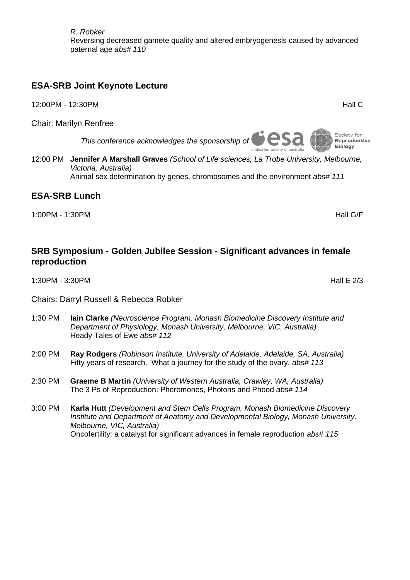*R. Robker* Reversing decreased gamete quality and altered embryogenesis caused by advanced paternal age *abs# 110* 

## **ESA-SRB Joint Keynote Lecture**

12:00PM - 12:30PM And Contract the Contract of the Contract of the Contract of the Contract of the Contract of

Chair: Marilyn Renfree

*This conference acknowledges the sponsorship of*

12:00 PM **Jennifer A Marshall Graves** *(School of Life sciences, La Trobe University, Melbourne, Victoria, Australia)*

Animal sex determination by genes, chromosomes and the environment *abs# 111* 

#### **ESA-SRB Lunch**

1:00PM - 1:30PM Hall G/F

#### **SRB Symposium - Golden Jubilee Session - Significant advances in female reproduction**

1:30PM - 3:30PM Hall E 2/3

- Chairs: Darryl Russell & Rebecca Robker
- 1:30 PM **Iain Clarke** *(Neuroscience Program, Monash Biomedicine Discovery Institute and Department of Physiology, Monash University, Melbourne, VIC, Australia)* Heady Tales of Ewe *abs# 112*
- 2:00 PM **Ray Rodgers** *(Robinson Institute, University of Adelaide, Adelaide, SA, Australia)* Fifty years of research. What a journey for the study of the ovary. *abs# 113*
- 2:30 PM **Graeme B Martin** *(University of Western Australia, Crawley, WA, Australia)* The 3 Ps of Reproduction: Pheromones, Photons and Phood *abs# 114*
- 3:00 PM **Karla Hutt** *(Development and Stem Cells Program, Monash Biomedicine Discovery Institute and Department of Anatomy and Developmental Biology, Monash University, Melbourne, VIC, Australia)* Oncofertility: a catalyst for significant advances in female reproduction *abs# 115*

Reproductive **Biology**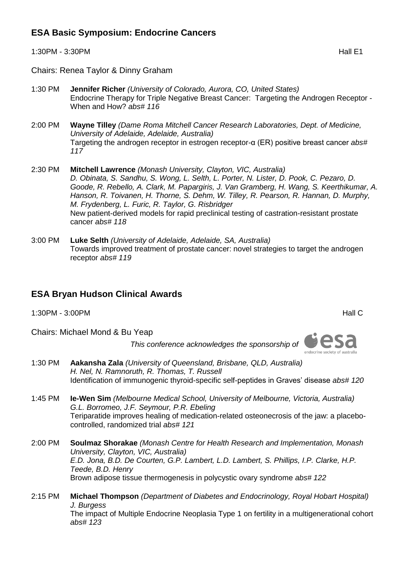## **ESA Basic Symposium: Endocrine Cancers**

1:30PM - 3:30PM **Hall E1** 

Chairs: Renea Taylor & Dinny Graham

- 1:30 PM **Jennifer Richer** *(University of Colorado, Aurora, CO, United States)* Endocrine Therapy for Triple Negative Breast Cancer: Targeting the Androgen Receptor - When and How? *abs# 116*
- 2:00 PM **Wayne Tilley** *(Dame Roma Mitchell Cancer Research Laboratories, Dept. of Medicine, University of Adelaide, Adelaide, Australia)* Targeting the androgen receptor in estrogen receptor-α (ER) positive breast cancer *abs# 117*
- 2:30 PM **Mitchell Lawrence** *(Monash University, Clayton, VIC, Australia) D. Obinata, S. Sandhu, S. Wong, L. Selth, L. Porter, N. Lister, D. Pook, C. Pezaro, D. Goode, R. Rebello, A. Clark, M. Papargiris, J. Van Gramberg, H. Wang, S. Keerthikumar, A. Hanson, R. Toivanen, H. Thorne, S. Dehm, W. Tilley, R. Pearson, R. Hannan, D. Murphy, M. Frydenberg, L. Furic, R. Taylor, G. Risbridger* New patient-derived models for rapid preclinical testing of castration-resistant prostate cancer *abs# 118*
- 3:00 PM **Luke Selth** *(University of Adelaide, Adelaide, SA, Australia)* Towards improved treatment of prostate cancer: novel strategies to target the androgen receptor *abs# 119*

#### **ESA Bryan Hudson Clinical Awards**

1:30PM - 3:00PM Hall C

Chairs: Michael Mond & Bu Yeap

*This conference acknowledges the sponsorship of*



1:30 PM **Aakansha Zala** *(University of Queensland, Brisbane, QLD, Australia) H. Nel, N. Ramnoruth, R. Thomas, T. Russell* Identification of immunogenic thyroid-specific self-peptides in Graves' disease *abs# 120* 

- 1:45 PM **Ie-Wen Sim** *(Melbourne Medical School, University of Melbourne, Victoria, Australia) G.L. Borromeo, J.F. Seymour, P.R. Ebeling* Teriparatide improves healing of medication-related osteonecrosis of the jaw: a placebocontrolled, randomized trial *abs# 121*
- 2:00 PM **Soulmaz Shorakae** *(Monash Centre for Health Research and Implementation, Monash University, Clayton, VIC, Australia) E.D. Jona, B.D. De Courten, G.P. Lambert, L.D. Lambert, S. Phillips, I.P. Clarke, H.P. Teede, B.D. Henry* Brown adipose tissue thermogenesis in polycystic ovary syndrome *abs# 122*
- 2:15 PM **Michael Thompson** *(Department of Diabetes and Endocrinology, Royal Hobart Hospital) J. Burgess* The impact of Multiple Endocrine Neoplasia Type 1 on fertility in a multigenerational cohort *abs# 123*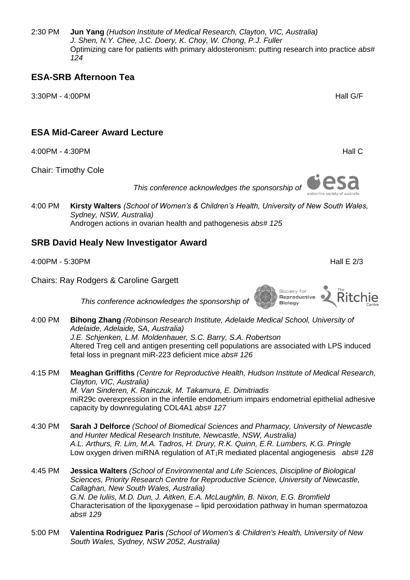2:30 PM **Jun Yang** *(Hudson Institute of Medical Research, Clayton, VIC, Australia) J. Shen, N.Y. Chee, J.C. Doery, K. Choy, W. Chong, P.J. Fuller* Optimizing care for patients with primary aldosteronism: putting research into practice *abs# 124* 

#### **ESA-SRB Afternoon Tea**

3:30PM - 4:00PM Hall G/F

#### **ESA Mid-Career Award Lecture**

4:00PM - 4:30PM Hall C

Chair: Timothy Cole

*This conference acknowledges the sponsorship of*

4:00 PM **Kirsty Walters** *(School of Women's & Children's Health, University of New South Wales, Sydney, NSW, Australia)* Androgen actions in ovarian health and pathogenesis *abs# 125* 

#### **SRB David Healy New Investigator Award**

4:00PM - 5:30PM Hall E 2/3

Chairs: Ray Rodgers & Caroline Gargett

*This conference acknowledges the sponsorship of*

- 4:00 PM **Bihong Zhang** *(Robinson Research Institute, Adelaide Medical School, University of Adelaide, Adelaide, SA, Australia) J.E. Schjenken, L.M. Moldenhauer, S.C. Barry, S.A. Robertson* Altered Treg cell and antigen presenting cell populations are associated with LPS induced fetal loss in pregnant miR-223 deficient mice *abs# 126*
- 4:15 PM **Meaghan Griffiths** *(Centre for Reproductive Health, Hudson Institute of Medical Research, Clayton, VIC, Australia) M. Van Sinderen, K. Rainczuk, M. Takamura, E. Dimitriadis* miR29c overexpression in the infertile endometrium impairs endometrial epithelial adhesive capacity by downregulating COL4A1 *abs# 127*
- 4:30 PM **Sarah J Delforce** *(School of Biomedical Sciences and Pharmacy, University of Newcastle and Hunter Medical Research Institute, Newcastle, NSW, Australia) A.L. Arthurs, R. Lim, M.A. Tadros, H. Drury, R.K. Quinn, E.R. Lumbers, K.G. Pringle* Low oxygen driven miRNA regulation of AT1R mediated placental angiogenesis *abs# 128*

4:45 PM **Jessica Walters** *(School of Environmental and Life Sciences, Discipline of Biological Sciences, Priority Research Centre for Reproductive Science, University of Newcastle, Callaghan, New South Wales, Australia) G.N. De Iuliis, M.D. Dun, J. Aitken, E.A. McLaughlin, B. Nixon, E.G. Bromfield* Characterisation of the lipoxygenase – lipid peroxidation pathway in human spermatozoa *abs# 129*

5:00 PM **Valentina Rodriguez Paris** *(School of Women's & Children's Health, University of New South Wales, Sydney, NSW 2052, Australia)*



Society for Reproductive **Biology**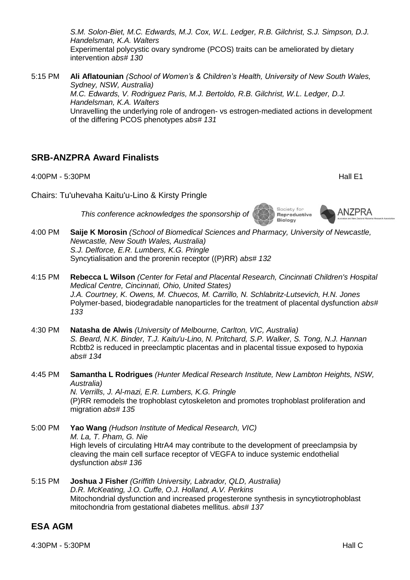*S.M. Solon-Biet, M.C. Edwards, M.J. Cox, W.L. Ledger, R.B. Gilchrist, S.J. Simpson, D.J. Handelsman, K.A. Walters* Experimental polycystic ovary syndrome (PCOS) traits can be ameliorated by dietary intervention *abs# 130* 

5:15 PM **Ali Aflatounian** *(School of Women's & Children's Health, University of New South Wales, Sydney, NSW, Australia) M.C. Edwards, V. Rodriguez Paris, M.J. Bertoldo, R.B. Gilchrist, W.L. Ledger, D.J. Handelsman, K.A. Walters* Unravelling the underlying role of androgen- vs estrogen-mediated actions in development of the differing PCOS phenotypes *abs# 131*

#### **SRB-ANZPRA Award Finalists**

migration *abs# 135* 

4:00PM - 5:30PM **Hall E1** 

**ANZPRA** 

Society for

Reproductive **Biology** 

Chairs: Tu'uhevaha Kaitu'u-Lino & Kirsty Pringle

*This conference acknowledges the sponsorship of*

- 4:00 PM **Saije K Morosin** *(School of Biomedical Sciences and Pharmacy, University of Newcastle, Newcastle, New South Wales, Australia) S.J. Delforce, E.R. Lumbers, K.G. Pringle* Syncytialisation and the prorenin receptor ((P)RR) *abs# 132*
- 4:15 PM **Rebecca L Wilson** *(Center for Fetal and Placental Research, Cincinnati Children's Hospital Medical Centre, Cincinnati, Ohio, United States) J.A. Courtney, K. Owens, M. Chuecos, M. Carrillo, N. Schlabritz-Lutsevich, H.N. Jones* Polymer-based, biodegradable nanoparticles for the treatment of placental dysfunction *abs# 133*
- 4:30 PM **Natasha de Alwis** *(University of Melbourne, Carlton, VIC, Australia) S. Beard, N.K. Binder, T.J. Kaitu'u-Lino, N. Pritchard, S.P. Walker, S. Tong, N.J. Hannan* Rcbtb2 is reduced in preeclamptic placentas and in placental tissue exposed to hypoxia *abs# 134*
- 4:45 PM **Samantha L Rodrigues** *(Hunter Medical Research Institute, New Lambton Heights, NSW, Australia) N. Verrills, J. Al-mazi, E.R. Lumbers, K.G. Pringle* (P)RR remodels the trophoblast cytoskeleton and promotes trophoblast proliferation and
- 5:00 PM **Yao Wang** *(Hudson Institute of Medical Research, VIC) M. La, T. Pham, G. Nie* High levels of circulating HtrA4 may contribute to the development of preeclampsia by cleaving the main cell surface receptor of VEGFA to induce systemic endothelial dysfunction *abs# 136*
- 5:15 PM **Joshua J Fisher** *(Griffith University, Labrador, QLD, Australia) D.R. McKeating, J.O. Cuffe, O.J. Holland, A.V. Perkins* Mitochondrial dysfunction and increased progesterone synthesis in syncytiotrophoblast mitochondria from gestational diabetes mellitus. *abs# 137*

#### **ESA AGM**

4:30PM - 5:30PM Hall C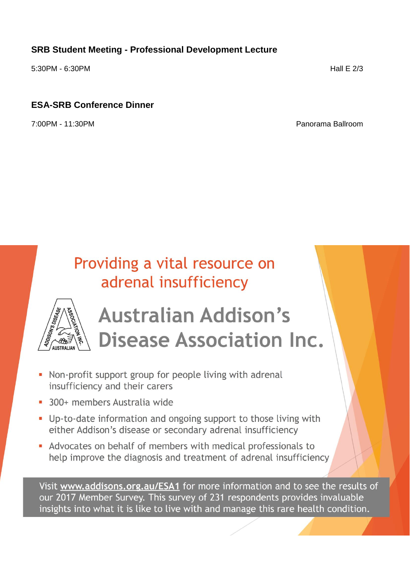## **SRB Student Meeting - Professional Development Lecture**

5:30PM - 6:30PM Hall E 2/3

## **ESA-SRB Conference Dinner**

7:00PM - 11:30PM Panorama Ballroom

## Providing a vital resource on adrenal insufficiency



# **Australian Addison's Disease Association Inc.**

- Non-profit support group for people living with adrenal insufficiency and their carers
- 300+ members Australia wide
- Up-to-date information and ongoing support to those living with either Addison's disease or secondary adrenal insufficiency
- Advocates on behalf of members with medical professionals to help improve the diagnosis and treatment of adrenal insufficiency

Visit www.addisons.org.au/ESA1 for more information and to see the results of our 2017 Member Survey. This survey of 231 respondents provides invaluable insights into what it is like to live with and manage this rare health condition.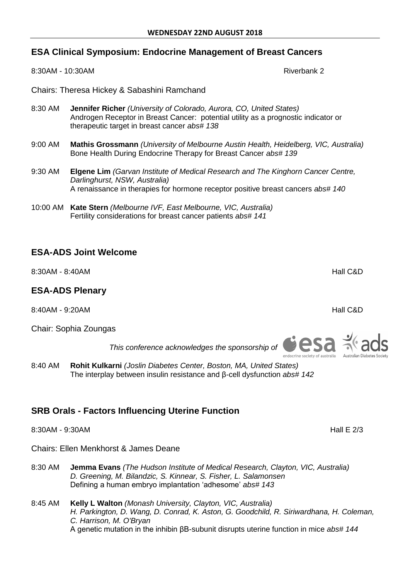#### **ESA Clinical Symposium: Endocrine Management of Breast Cancers**

8:30AM - 10:30AM **Riverbank 2** 

Chairs: Theresa Hickey & Sabashini Ramchand

- 8:30 AM **Jennifer Richer** *(University of Colorado, Aurora, CO, United States)* Androgen Receptor in Breast Cancer: potential utility as a prognostic indicator or therapeutic target in breast cancer *abs# 138*
- 9:00 AM **Mathis Grossmann** *(University of Melbourne Austin Health, Heidelberg, VIC, Australia)* Bone Health During Endocrine Therapy for Breast Cancer *abs# 139*
- 9:30 AM **Elgene Lim** *(Garvan Institute of Medical Research and The Kinghorn Cancer Centre, Darlinghurst, NSW, Australia)* A renaissance in therapies for hormone receptor positive breast cancers *abs# 140*
- 10:00 AM **Kate Stern** *(Melbourne IVF, East Melbourne, VIC, Australia)* Fertility considerations for breast cancer patients *abs# 141*

## **ESA-ADS Joint Welcome**

8:30AM - 8:40AM **Hall C&D** 

#### **ESA-ADS Plenary**

8:40AM - 9:20AM Hall C&D

Chair: Sophia Zoungas

*This conference acknowledges the sponsorship of*

8:40 AM **Rohit Kulkarni** *(Joslin Diabetes Center, Boston, MA, United States)* The interplay between insulin resistance and β-cell dysfunction *abs# 142* 

## **SRB Orals - Factors Influencing Uterine Function**

8:30AM - 9:30AM Hall E 2/3

Chairs: Ellen Menkhorst & James Deane

- 8:30 AM **Jemma Evans** *(The Hudson Institute of Medical Research, Clayton, VIC, Australia) D. Greening, M. Bilandzic, S. Kinnear, S. Fisher, L. Salamonsen* Defining a human embryo implantation 'adhesome' *abs# 143*
- 8:45 AM **Kelly L Walton** *(Monash University, Clayton, VIC, Australia) H. Parkington, D. Wang, D. Conrad, K. Aston, G. Goodchild, R. Siriwardhana, H. Coleman, C. Harrison, M. O'Bryan* A genetic mutation in the inhibin βB-subunit disrupts uterine function in mice *abs# 144*



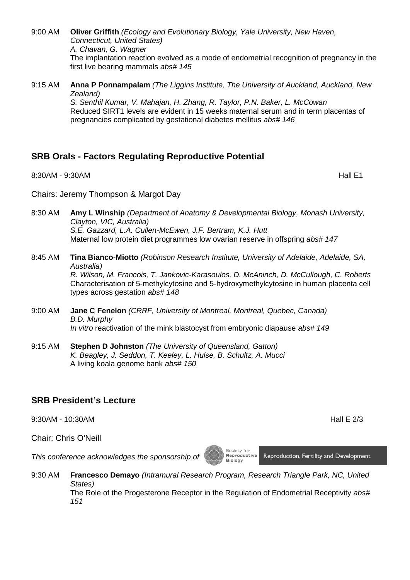9:00 AM **Oliver Griffith** *(Ecology and Evolutionary Biology, Yale University, New Haven, Connecticut, United States) A. Chavan, G. Wagner* The implantation reaction evolved as a mode of endometrial recognition of pregnancy in the first live bearing mammals *abs# 145* 

9:15 AM **Anna P Ponnampalam** *(The Liggins Institute, The University of Auckland, Auckland, New Zealand) S. Senthil Kumar, V. Mahajan, H. Zhang, R. Taylor, P.N. Baker, L. McCowan* Reduced SIRT1 levels are evident in 15 weeks maternal serum and in term placentas of pregnancies complicated by gestational diabetes mellitus *abs# 146* 

## **SRB Orals - Factors Regulating Reproductive Potential**

8:30AM - 9:30AM Hall E1

Chairs: Jeremy Thompson & Margot Day

- 8:30 AM **Amy L Winship** *(Department of Anatomy & Developmental Biology, Monash University, Clayton, VIC, Australia) S.E. Gazzard, L.A. Cullen-McEwen, J.F. Bertram, K.J. Hutt* Maternal low protein diet programmes low ovarian reserve in offspring *abs# 147*
- 8:45 AM **Tina Bianco-Miotto** *(Robinson Research Institute, University of Adelaide, Adelaide, SA, Australia) R. Wilson, M. Francois, T. Jankovic-Karasoulos, D. McAninch, D. McCullough, C. Roberts* Characterisation of 5-methylcytosine and 5-hydroxymethylcytosine in human placenta cell types across gestation *abs# 148*
- 9:00 AM **Jane C Fenelon** *(CRRF, University of Montreal, Montreal, Quebec, Canada) B.D. Murphy In vitro* reactivation of the mink blastocyst from embryonic diapause *abs# 149*
- 9:15 AM **Stephen D Johnston** *(The University of Queensland, Gatton) K. Beagley, J. Seddon, T. Keeley, L. Hulse, B. Schultz, A. Mucci* A living koala genome bank *abs# 150*

#### **SRB President's Lecture**

9:30AM - 10:30AM Hall E 2/3

Chair: Chris O'Neill

*This conference acknowledges the sponsorship of*

9:30 AM **Francesco Demayo** *(Intramural Research Program, Research Triangle Park, NC, United States)* The Role of the Progesterone Receptor in the Regulation of Endometrial Receptivity *abs# 151* 

Society for<br>**Reproductive** 

Reproduction, Fertility and Development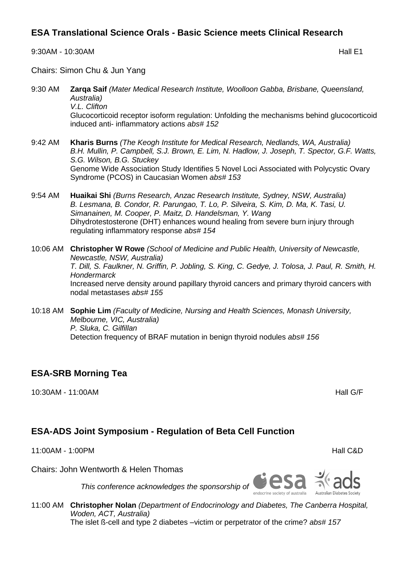#### **ESA Translational Science Orals - Basic Science meets Clinical Research**

9:30AM - 10:30AM Hall E1

Chairs: Simon Chu & Jun Yang

- 9:30 AM **Zarqa Saif** *(Mater Medical Research Institute, Woolloon Gabba, Brisbane, Queensland, Australia) V.L. Clifton* Glucocorticoid receptor isoform regulation: Unfolding the mechanisms behind glucocorticoid induced anti- inflammatory actions *abs# 152*
- 9:42 AM **Kharis Burns** *(The Keogh Institute for Medical Research, Nedlands, WA, Australia) B.H. Mullin, P. Campbell, S.J. Brown, E. Lim, N. Hadlow, J. Joseph, T. Spector, G.F. Watts, S.G. Wilson, B.G. Stuckey* Genome Wide Association Study Identifies 5 Novel Loci Associated with Polycystic Ovary Syndrome (PCOS) in Caucasian Women *abs# 153*
- 9:54 AM **Huaikai Shi** *(Burns Research, Anzac Research Institute, Sydney, NSW, Australia) B. Lesmana, B. Condor, R. Parungao, T. Lo, P. Silveira, S. Kim, D. Ma, K. Tasi, U. Simanainen, M. Cooper, P. Maitz, D. Handelsman, Y. Wang* Dihydrotestosterone (DHT) enhances wound healing from severe burn injury through regulating inflammatory response *abs# 154*
- 10:06 AM **Christopher W Rowe** *(School of Medicine and Public Health, University of Newcastle, Newcastle, NSW, Australia) T. Dill, S. Faulkner, N. Griffin, P. Jobling, S. King, C. Gedye, J. Tolosa, J. Paul, R. Smith, H. Hondermarck* Increased nerve density around papillary thyroid cancers and primary thyroid cancers with nodal metastases *abs# 155*
- 10:18 AM **Sophie Lim** *(Faculty of Medicine, Nursing and Health Sciences, Monash University, Melbourne, VIC, Australia) P. Sluka, C. Gilfillan* Detection frequency of BRAF mutation in benign thyroid nodules *abs# 156*

## **ESA-SRB Morning Tea**

10:30AM - 11:00AM Hall G/F

## **ESA-ADS Joint Symposium - Regulation of Beta Cell Function**

11:00AM - 1:00PM Hall C&D

Chairs: John Wentworth & Helen Thomas

*This conference acknowledges the sponsorship of*

11:00 AM **Christopher Nolan** *(Department of Endocrinology and Diabetes, The Canberra Hospital, Woden, ACT, Australia)* The islet ß-cell and type 2 diabetes –victim or perpetrator of the crime? *abs# 157*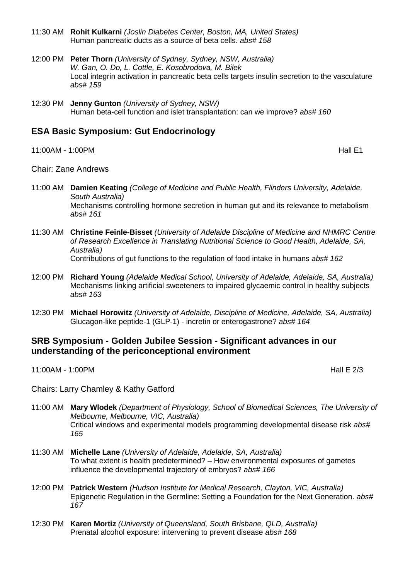- 11:30 AM **Rohit Kulkarni** *(Joslin Diabetes Center, Boston, MA, United States)* Human pancreatic ducts as a source of beta cells. *abs# 158*
- 12:00 PM **Peter Thorn** *(University of Sydney, Sydney, NSW, Australia) W. Gan, O. Do, L. Cottle, E. Kosobrodova, M. Bilek* Local integrin activation in pancreatic beta cells targets insulin secretion to the vasculature *abs# 159*
- 12:30 PM **Jenny Gunton** *(University of Sydney, NSW)* Human beta-cell function and islet transplantation: can we improve? *abs# 160*

#### **ESA Basic Symposium: Gut Endocrinology**

11:00AM - 1:00PM Hall E1

#### Chair: Zane Andrews

- 11:00 AM **Damien Keating** *(College of Medicine and Public Health, Flinders University, Adelaide, South Australia)* Mechanisms controlling hormone secretion in human gut and its relevance to metabolism *abs# 161*
- 11:30 AM **Christine Feinle-Bisset** *(University of Adelaide Discipline of Medicine and NHMRC Centre of Research Excellence in Translating Nutritional Science to Good Health, Adelaide, SA, Australia)* Contributions of gut functions to the regulation of food intake in humans *abs# 162*
- 12:00 PM **Richard Young** *(Adelaide Medical School, University of Adelaide, Adelaide, SA, Australia)* Mechanisms linking artificial sweeteners to impaired glycaemic control in healthy subjects *abs# 163*
- 12:30 PM **Michael Horowitz** *(University of Adelaide, Discipline of Medicine, Adelaide, SA, Australia)* Glucagon-like peptide-1 (GLP-1) - incretin or enterogastrone? *abs# 164*

#### **SRB Symposium - Golden Jubilee Session - Significant advances in our understanding of the periconceptional environment**

11:00AM - 1:00PM Hall E 2/3

Chairs: Larry Chamley & Kathy Gatford

- 11:00 AM **Mary Wlodek** *(Department of Physiology, School of Biomedical Sciences, The University of Melbourne, Melbourne, VIC, Australia)* Critical windows and experimental models programming developmental disease risk *abs# 165*
- 11:30 AM **Michelle Lane** *(University of Adelaide, Adelaide, SA, Australia)* To what extent is health predetermined? – How environmental exposures of gametes influence the developmental trajectory of embryos? *abs# 166*
- 12:00 PM **Patrick Western** *(Hudson Institute for Medical Research, Clayton, VIC, Australia)* Epigenetic Regulation in the Germline: Setting a Foundation for the Next Generation. *abs# 167*
- 12:30 PM **Karen Mortiz** *(University of Queensland, South Brisbane, QLD, Australia)* Prenatal alcohol exposure: intervening to prevent disease *abs# 168*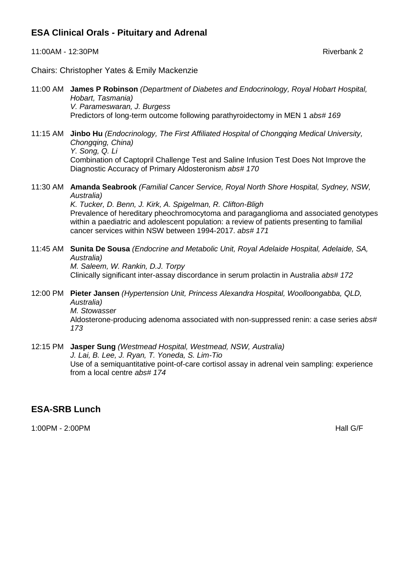#### **ESA Clinical Orals - Pituitary and Adrenal**

11:00AM - 12:30PM Riverbank 2

Chairs: Christopher Yates & Emily Mackenzie

- 11:00 AM **James P Robinson** *(Department of Diabetes and Endocrinology, Royal Hobart Hospital, Hobart, Tasmania) V. Parameswaran, J. Burgess* Predictors of long-term outcome following parathyroidectomy in MEN 1 *abs# 169*
- 11:15 AM **Jinbo Hu** *(Endocrinology, The First Affiliated Hospital of Chongqing Medical University, Chongqing, China) Y. Song, Q. Li* Combination of Captopril Challenge Test and Saline Infusion Test Does Not Improve the Diagnostic Accuracy of Primary Aldosteronism *abs# 170*
- 11:30 AM **Amanda Seabrook** *(Familial Cancer Service, Royal North Shore Hospital, Sydney, NSW, Australia)*

*K. Tucker, D. Benn, J. Kirk, A. Spigelman, R. Clifton-Bligh* Prevalence of hereditary pheochromocytoma and paraganglioma and associated genotypes within a paediatric and adolescent population: a review of patients presenting to familial cancer services within NSW between 1994-2017. *abs# 171* 

11:45 AM **Sunita De Sousa** *(Endocrine and Metabolic Unit, Royal Adelaide Hospital, Adelaide, SA, Australia) M. Saleem, W. Rankin, D.J. Torpy*

Clinically significant inter-assay discordance in serum prolactin in Australia *abs# 172* 

- 12:00 PM **Pieter Jansen** *(Hypertension Unit, Princess Alexandra Hospital, Woolloongabba, QLD, Australia) M. Stowasser* Aldosterone-producing adenoma associated with non-suppressed renin: a case series *abs# 173*
- 12:15 PM **Jasper Sung** *(Westmead Hospital, Westmead, NSW, Australia) J. Lai, B. Lee, J. Ryan, T. Yoneda, S. Lim-Tio* Use of a semiquantitative point-of-care cortisol assay in adrenal vein sampling: experience from a local centre *abs# 174*

#### **ESA-SRB Lunch**

1:00PM - 2:00PM Hall G/F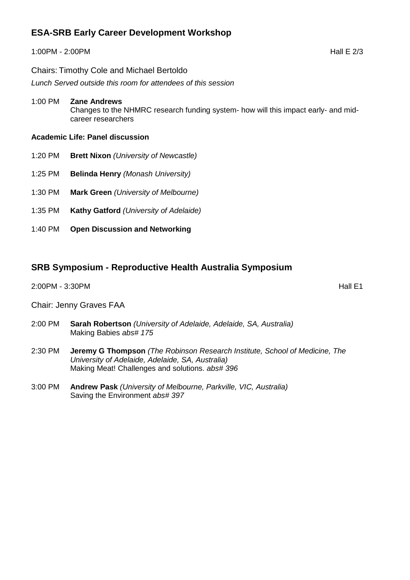## **ESA-SRB Early Career Development Workshop**

#### 1:00PM - 2:00PM Hall E 2/3

Chairs: Timothy Cole and Michael Bertoldo

*Lunch Served outside this room for attendees of this session*

- 1:00 PM **Zane Andrews** Changes to the NHMRC research funding system- how will this impact early- and midcareer researchers
- **Academic Life: Panel discussion**
- 1:20 PM **Brett Nixon** *(University of Newcastle)*
- 1:25 PM **Belinda Henry** *(Monash University)*
- 1:30 PM **Mark Green** *(University of Melbourne)*
- 1:35 PM **Kathy Gatford** *(University of Adelaide)*
- 1:40 PM **Open Discussion and Networking**

#### **SRB Symposium - Reproductive Health Australia Symposium**

2:00PM - 3:30PM **Hall E1** 

Chair: Jenny Graves FAA

- 2:00 PM **Sarah Robertson** *(University of Adelaide, Adelaide, SA, Australia)* Making Babies *abs# 175*
- 2:30 PM **Jeremy G Thompson** *(The Robinson Research Institute, School of Medicine, The University of Adelaide, Adelaide, SA, Australia)* Making Meat! Challenges and solutions. *abs# 396*
- 3:00 PM **Andrew Pask** *(University of Melbourne, Parkville, VIC, Australia)* Saving the Environment *abs# 397*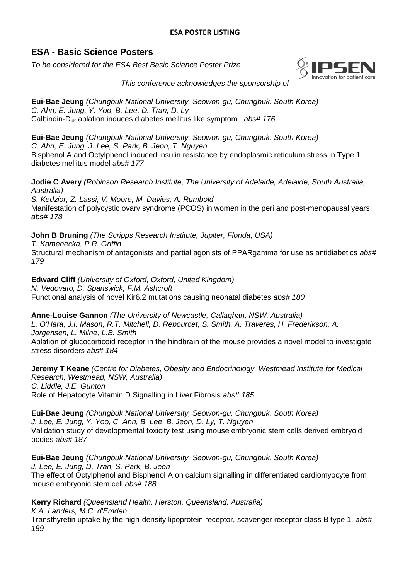#### **ESA - Basic Science Posters**

*To be considered for the ESA Best Basic Science Poster Prize*



*This conference acknowledges the sponsorship of*

**Eui-Bae Jeung** *(Chungbuk National University, Seowon-gu, Chungbuk, South Korea) C. Ahn, E. Jung, Y. Yoo, B. Lee, D. Tran, D. Ly* Calbindin-D9k ablation induces diabetes mellitus like symptom *abs# 176* 

**Eui-Bae Jeung** *(Chungbuk National University, Seowon-gu, Chungbuk, South Korea) C. Ahn, E. Jung, J. Lee, S. Park, B. Jeon, T. Nguyen*  Bisphenol A and Octylphenol induced insulin resistance by endoplasmic reticulum stress in Type 1 diabetes mellitus model *abs# 177* 

**Jodie C Avery** *(Robinson Research Institute, The University of Adelaide, Adelaide, South Australia, Australia)*

*S. Kedzior, Z. Lassi, V. Moore, M. Davies, A. Rumbold* Manifestation of polycystic ovary syndrome (PCOS) in women in the peri and post-menopausal years *abs# 178* 

**John B Bruning** *(The Scripps Research Institute, Jupiter, Florida, USA) T. Kamenecka, P.R. Griffin* Structural mechanism of antagonists and partial agonists of PPARgamma for use as antidiabetics *abs# 179* 

**Edward Cliff** *(University of Oxford, Oxford, United Kingdom) N. Vedovato, D. Spanswick, F.M. Ashcroft* Functional analysis of novel Kir6.2 mutations causing neonatal diabetes *abs# 180* 

**Anne-Louise Gannon** *(The University of Newcastle, Callaghan, NSW, Australia)*

*L. O'Hara, J.I. Mason, R.T. Mitchell, D. Rebourcet, S. Smith, A. Traveres, H. Frederikson, A. Jorgensen, L. Milne, L.B. Smith*

Ablation of glucocorticoid receptor in the hindbrain of the mouse provides a novel model to investigate stress disorders *abs# 184* 

**Jeremy T Keane** *(Centre for Diabetes, Obesity and Endocrinology, Westmead Institute for Medical Research, Westmead, NSW, Australia) C. Liddle, J.E. Gunton* Role of Hepatocyte Vitamin D Signalling in Liver Fibrosis *abs# 185* 

**Eui-Bae Jeung** *(Chungbuk National University, Seowon-gu, Chungbuk, South Korea) J. Lee, E. Jung, Y. Yoo, C. Ahn, B. Lee, B. Jeon, D. Ly, T. Nguyen* Validation study of developmental toxicity test using mouse embryonic stem cells derived embryoid bodies *abs# 187* 

**Eui-Bae Jeung** *(Chungbuk National University, Seowon-gu, Chungbuk, South Korea) J. Lee, E. Jung, D. Tran, S. Park, B. Jeon* The effect of Octylphenol and Bisphenol A on calcium signalling in differentiated cardiomyocyte from mouse embryonic stem cell *abs# 188* 

**Kerry Richard** *(Queensland Health, Herston, Queensland, Australia)*

*K.A. Landers, M.C. d'Emden*

Transthyretin uptake by the high-density lipoprotein receptor, scavenger receptor class B type 1. *abs# 189*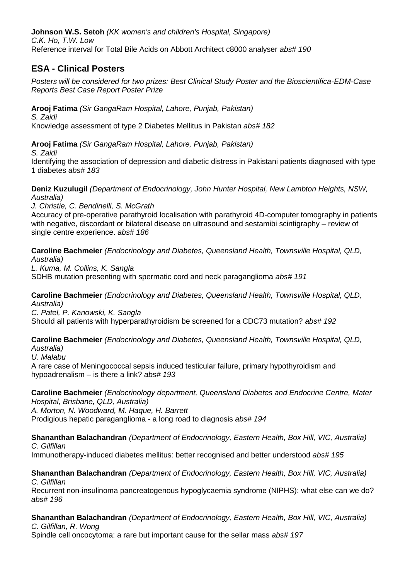**Johnson W.S. Setoh** *(KK women's and children's Hospital, Singapore) C.K. Ho, T.W. Low* Reference interval for Total Bile Acids on Abbott Architect c8000 analyser *abs# 190* 

## **ESA - Clinical Posters**

*Posters will be considered for two prizes: Best Clinical Study Poster and the Bioscientifica-EDM-Case Reports Best Case Report Poster Prize*

**Arooj Fatima** *(Sir GangaRam Hospital, Lahore, Punjab, Pakistan)*

*S. Zaidi* Knowledge assessment of type 2 Diabetes Mellitus in Pakistan *abs# 182* 

**Arooj Fatima** *(Sir GangaRam Hospital, Lahore, Punjab, Pakistan)*

*S. Zaidi*

Identifying the association of depression and diabetic distress in Pakistani patients diagnosed with type 1 diabetes *abs# 183* 

**Deniz Kuzulugil** *(Department of Endocrinology, John Hunter Hospital, New Lambton Heights, NSW, Australia)*

*J. Christie, C. Bendinelli, S. McGrath* Accuracy of pre-operative parathyroid localisation with parathyroid 4D-computer tomography in patients with negative, discordant or bilateral disease on ultrasound and sestamibi scintigraphy – review of single centre experience. *abs# 186* 

**Caroline Bachmeier** *(Endocrinology and Diabetes, Queensland Health, Townsville Hospital, QLD, Australia)*

*L. Kuma, M. Collins, K. Sangla* SDHB mutation presenting with spermatic cord and neck paraganglioma *abs# 191* 

**Caroline Bachmeier** *(Endocrinology and Diabetes, Queensland Health, Townsville Hospital, QLD, Australia)*

*C. Patel, P. Kanowski, K. Sangla*

Should all patients with hyperparathyroidism be screened for a CDC73 mutation? *abs# 192* 

## **Caroline Bachmeier** *(Endocrinology and Diabetes, Queensland Health, Townsville Hospital, QLD,*

*Australia)*

*U. Malabu*

A rare case of Meningococcal sepsis induced testicular failure, primary hypothyroidism and hypoadrenalism – is there a link? *abs# 193* 

**Caroline Bachmeier** *(Endocrinology department, Queensland Diabetes and Endocrine Centre, Mater Hospital, Brisbane, QLD, Australia)*

*A. Morton, N. Woodward, M. Haque, H. Barrett* Prodigious hepatic paraganglioma - a long road to diagnosis *abs# 194* 

**Shananthan Balachandran** *(Department of Endocrinology, Eastern Health, Box Hill, VIC, Australia) C. Gilfillan* Immunotherapy-induced diabetes mellitus: better recognised and better understood *abs# 195* 

**Shananthan Balachandran** *(Department of Endocrinology, Eastern Health, Box Hill, VIC, Australia) C. Gilfillan* Recurrent non-insulinoma pancreatogenous hypoglycaemia syndrome (NIPHS): what else can we do? *abs# 196* 

**Shananthan Balachandran** *(Department of Endocrinology, Eastern Health, Box Hill, VIC, Australia) C. Gilfillan, R. Wong* Spindle cell oncocytoma: a rare but important cause for the sellar mass *abs# 197*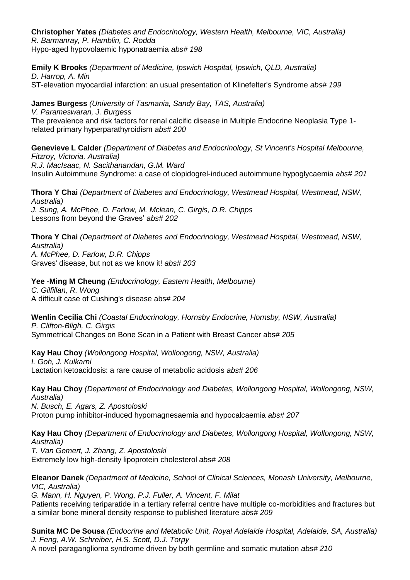**Christopher Yates** *(Diabetes and Endocrinology, Western Health, Melbourne, VIC, Australia) R. Barmanray, P. Hamblin, C. Rodda* Hypo-aged hypovolaemic hyponatraemia *abs# 198* 

**Emily K Brooks** *(Department of Medicine, Ipswich Hospital, Ipswich, QLD, Australia) D. Harrop, A. Min* ST-elevation myocardial infarction: an usual presentation of Klinefelter's Syndrome *abs# 199* 

**James Burgess** *(University of Tasmania, Sandy Bay, TAS, Australia) V. Parameswaran, J. Burgess* The prevalence and risk factors for renal calcific disease in Multiple Endocrine Neoplasia Type 1 related primary hyperparathyroidism *abs# 200* 

**Genevieve L Calder** *(Department of Diabetes and Endocrinology, St Vincent's Hospital Melbourne, Fitzroy, Victoria, Australia) R.J. MacIsaac, N. Sacithanandan, G.M. Ward* Insulin Autoimmune Syndrome: a case of clopidogrel-induced autoimmune hypoglycaemia *abs# 201* 

**Thora Y Chai** *(Department of Diabetes and Endocrinology, Westmead Hospital, Westmead, NSW, Australia) J. Sung, A. McPhee, D. Farlow, M. Mclean, C. Girgis, D.R. Chipps* Lessons from beyond the Graves' *abs# 202* 

**Thora Y Chai** *(Department of Diabetes and Endocrinology, Westmead Hospital, Westmead, NSW, Australia) A. McPhee, D. Farlow, D.R. Chipps* Graves' disease, but not as we know it! *abs# 203* 

**Yee -Ming M Cheung** *(Endocrinology, Eastern Health, Melbourne) C. Gilfillan, R. Wong*  A difficult case of Cushing's disease abs*# 204* 

**Wenlin Cecilia Chi** *(Coastal Endocrinology, Hornsby Endocrine, Hornsby, NSW, Australia) P. Clifton-Bligh, C. Girgis* Symmetrical Changes on Bone Scan in a Patient with Breast Cancer abs*# 205* 

**Kay Hau Choy** *(Wollongong Hospital, Wollongong, NSW, Australia) I. Goh, J. Kulkarni* Lactation ketoacidosis: a rare cause of metabolic acidosis *abs# 206* 

**Kay Hau Choy** *(Department of Endocrinology and Diabetes, Wollongong Hospital, Wollongong, NSW, Australia) N. Busch, E. Agars, Z. Apostoloski* Proton pump inhibitor-induced hypomagnesaemia and hypocalcaemia *abs# 207* 

**Kay Hau Choy** *(Department of Endocrinology and Diabetes, Wollongong Hospital, Wollongong, NSW, Australia) T. Van Gemert, J. Zhang, Z. Apostoloski* Extremely low high-density lipoprotein cholesterol *abs# 208* 

**Eleanor Danek** *(Department of Medicine, School of Clinical Sciences, Monash University, Melbourne, VIC, Australia)*

*G. Mann, H. Nguyen, P. Wong, P.J. Fuller, A. Vincent, F. Milat* Patients receiving teriparatide in a tertiary referral centre have multiple co-morbidities and fractures but a similar bone mineral density response to published literature *abs# 209* 

**Sunita MC De Sousa** *(Endocrine and Metabolic Unit, Royal Adelaide Hospital, Adelaide, SA, Australia) J. Feng, A.W. Schreiber, H.S. Scott, D.J. Torpy*

A novel paraganglioma syndrome driven by both germline and somatic mutation *abs# 210*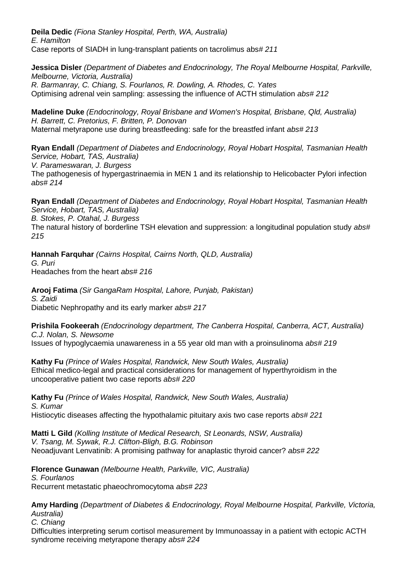**Deila Dedic** *(Fiona Stanley Hospital, Perth, WA, Australia) E. Hamilton* Case reports of SIADH in lung-transplant patients on tacrolimus abs*# 211* 

**Jessica Disler** *(Department of Diabetes and Endocrinology, The Royal Melbourne Hospital, Parkville, Melbourne, Victoria, Australia) R. Barmanray, C. Chiang, S. Fourlanos, R. Dowling, A. Rhodes, C. Yates* Optimising adrenal vein sampling: assessing the influence of ACTH stimulation *abs# 212* 

**Madeline Duke** *(Endocrinology, Royal Brisbane and Women's Hospital, Brisbane, Qld, Australia) H. Barrett, C. Pretorius, F. Britten, P. Donovan* Maternal metyrapone use during breastfeeding: safe for the breastfed infant *abs# 213* 

**Ryan Endall** *(Department of Diabetes and Endocrinology, Royal Hobart Hospital, Tasmanian Health Service, Hobart, TAS, Australia) V. Parameswaran, J. Burgess* The pathogenesis of hypergastrinaemia in MEN 1 and its relationship to Helicobacter Pylori infection *abs# 214* 

**Ryan Endall** *(Department of Diabetes and Endocrinology, Royal Hobart Hospital, Tasmanian Health Service, Hobart, TAS, Australia)*

*B. Stokes, P. Otahal, J. Burgess*

The natural history of borderline TSH elevation and suppression: a longitudinal population study *abs# 215* 

**Hannah Farquhar** *(Cairns Hospital, Cairns North, QLD, Australia) G. Puri* Headaches from the heart *abs# 216* 

**Arooj Fatima** *(Sir GangaRam Hospital, Lahore, Punjab, Pakistan) S. Zaidi* Diabetic Nephropathy and its early marker *abs# 217* 

**Prishila Fookeerah** *(Endocrinology department, The Canberra Hospital, Canberra, ACT, Australia) C.J. Nolan, S. Newsome* Issues of hypoglycaemia unawareness in a 55 year old man with a proinsulinoma *abs# 219* 

**Kathy Fu** *(Prince of Wales Hospital, Randwick, New South Wales, Australia)* Ethical medico-legal and practical considerations for management of hyperthyroidism in the uncooperative patient two case reports *abs# 220* 

**Kathy Fu** *(Prince of Wales Hospital, Randwick, New South Wales, Australia) S. Kumar* Histiocytic diseases affecting the hypothalamic pituitary axis two case reports *abs# 221* 

**Matti L Gild** *(Kolling Institute of Medical Research, St Leonards, NSW, Australia) V. Tsang, M. Sywak, R.J. Clifton-Bligh, B.G. Robinson* Neoadjuvant Lenvatinib: A promising pathway for anaplastic thyroid cancer? *abs# 222* 

**Florence Gunawan** *(Melbourne Health, Parkville, VIC, Australia) S. Fourlanos* Recurrent metastatic phaeochromocytoma *abs# 223* 

**Amy Harding** *(Department of Diabetes & Endocrinology, Royal Melbourne Hospital, Parkville, Victoria, Australia) C. Chiang* Difficulties interpreting serum cortisol measurement by Immunoassay in a patient with ectopic ACTH syndrome receiving metyrapone therapy *abs# 224*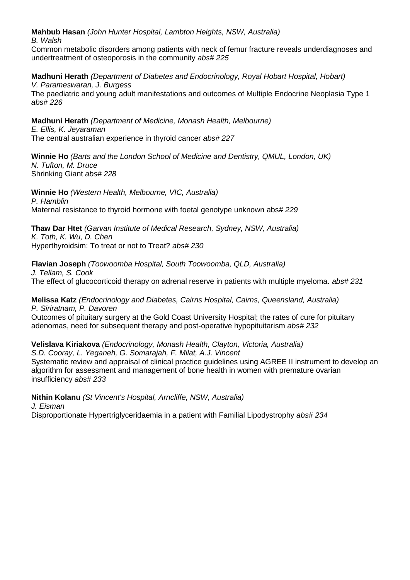**Mahbub Hasan** *(John Hunter Hospital, Lambton Heights, NSW, Australia)*

*B. Walsh*

Common metabolic disorders among patients with neck of femur fracture reveals underdiagnoses and undertreatment of osteoporosis in the community *abs# 225* 

**Madhuni Herath** *(Department of Diabetes and Endocrinology, Royal Hobart Hospital, Hobart) V. Parameswaran, J. Burgess*

The paediatric and young adult manifestations and outcomes of Multiple Endocrine Neoplasia Type 1 *abs# 226* 

**Madhuni Herath** *(Department of Medicine, Monash Health, Melbourne) E. Ellis, K. Jeyaraman* The central australian experience in thyroid cancer *abs# 227* 

**Winnie Ho** *(Barts and the London School of Medicine and Dentistry, QMUL, London, UK) N. Tufton, M. Druce* Shrinking Giant *abs# 228* 

**Winnie Ho** *(Western Health, Melbourne, VIC, Australia) P. Hamblin* Maternal resistance to thyroid hormone with foetal genotype unknown abs*# 229* 

**Thaw Dar Htet** *(Garvan Institute of Medical Research, Sydney, NSW, Australia) K. Toth, K. Wu, D. Chen* Hyperthyroidsim: To treat or not to Treat? *abs# 230* 

**Flavian Joseph** *(Toowoomba Hospital, South Toowoomba, QLD, Australia) J. Tellam, S. Cook* The effect of glucocorticoid therapy on adrenal reserve in patients with multiple myeloma. *abs# 231* 

**Melissa Katz** *(Endocrinology and Diabetes, Cairns Hospital, Cairns, Queensland, Australia) P. Siriratnam, P. Davoren*  Outcomes of pituitary surgery at the Gold Coast University Hospital; the rates of cure for pituitary adenomas, need for subsequent therapy and post-operative hypopituitarism *abs# 232* 

**Velislava Kiriakova** *(Endocrinology, Monash Health, Clayton, Victoria, Australia) S.D. Cooray, L. Yeganeh, G. Somarajah, F. Milat, A.J. Vincent*

Systematic review and appraisal of clinical practice guidelines using AGREE II instrument to develop an algorithm for assessment and management of bone health in women with premature ovarian insufficiency *abs# 233* 

**Nithin Kolanu** *(St Vincent's Hospital, Arncliffe, NSW, Australia)*

*J. Eisman*

Disproportionate Hypertriglyceridaemia in a patient with Familial Lipodystrophy *abs# 234*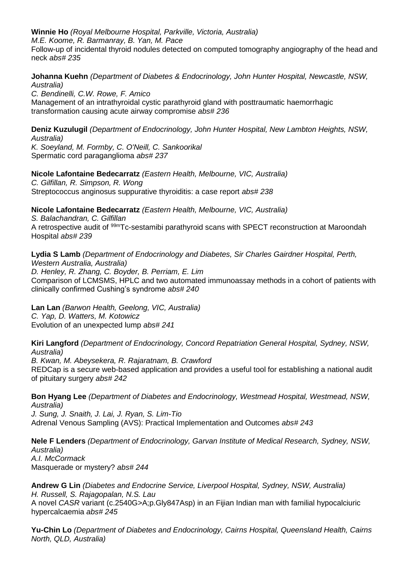**Winnie Ho** *(Royal Melbourne Hospital, Parkville, Victoria, Australia)*

*M.E. Koome, R. Barmanray, B. Yan, M. Pace*

Follow-up of incidental thyroid nodules detected on computed tomography angiography of the head and neck *abs# 235* 

**Johanna Kuehn** *(Department of Diabetes & Endocrinology, John Hunter Hospital, Newcastle, NSW, Australia)*

*C. Bendinelli, C.W. Rowe, F. Amico* Management of an intrathyroidal cystic parathyroid gland with posttraumatic haemorrhagic transformation causing acute airway compromise *abs# 236* 

**Deniz Kuzulugil** *(Department of Endocrinology, John Hunter Hospital, New Lambton Heights, NSW, Australia) K. Soeyland, M. Formby, C. O'Neill, C. Sankoorikal*

Spermatic cord paraganglioma *abs# 237* 

**Nicole Lafontaine Bedecarratz** *(Eastern Health, Melbourne, VIC, Australia) C. Gilfillan, R. Simpson, R. Wong*

Streptococcus anginosus suppurative thyroiditis: a case report *abs# 238* 

**Nicole Lafontaine Bedecarratz** *(Eastern Health, Melbourne, VIC, Australia)*

*S. Balachandran, C. Gilfillan* A retrospective audit of <sup>99m</sup>Tc-sestamibi parathyroid scans with SPECT reconstruction at Maroondah Hospital *abs# 239* 

**Lydia S Lamb** *(Department of Endocrinology and Diabetes, Sir Charles Gairdner Hospital, Perth, Western Australia, Australia) D. Henley, R. Zhang, C. Boyder, B. Perriam, E. Lim* Comparison of LCMSMS, HPLC and two automated immunoassay methods in a cohort of patients with clinically confirmed Cushing's syndrome *abs# 240* 

**Lan Lan** *(Barwon Health, Geelong, VIC, Australia) C. Yap, D. Watters, M. Kotowicz* Evolution of an unexpected lump *abs# 241* 

**Kiri Langford** *(Department of Endocrinology, Concord Repatriation General Hospital, Sydney, NSW, Australia)*

*B. Kwan, M. Abeysekera, R. Rajaratnam, B. Crawford* REDCap is a secure web-based application and provides a useful tool for establishing a national audit of pituitary surgery *abs# 242* 

**Bon Hyang Lee** *(Department of Diabetes and Endocrinology, Westmead Hospital, Westmead, NSW, Australia)*

*J. Sung, J. Snaith, J. Lai, J. Ryan, S. Lim-Tio* Adrenal Venous Sampling (AVS): Practical Implementation and Outcomes *abs# 243* 

**Nele F Lenders** *(Department of Endocrinology, Garvan Institute of Medical Research, Sydney, NSW, Australia) A.I. McCormack* Masquerade or mystery? *abs# 244* 

**Andrew G Lin** *(Diabetes and Endocrine Service, Liverpool Hospital, Sydney, NSW, Australia) H. Russell, S. Rajagopalan, N.S. Lau* A novel *CASR* variant (c.2540G>A;p.Gly847Asp) in an Fijian Indian man with familial hypocalciuric hypercalcaemia *abs# 245* 

**Yu-Chin Lo** *(Department of Diabetes and Endocrinology, Cairns Hospital, Queensland Health, Cairns North, QLD, Australia)*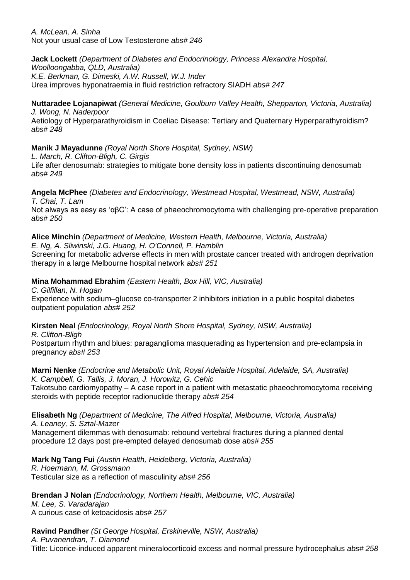*A. McLean, A. Sinha* Not your usual case of Low Testosterone *abs# 246* 

**Jack Lockett** *(Department of Diabetes and Endocrinology, Princess Alexandra Hospital, Woolloongabba, QLD, Australia) K.E. Berkman, G. Dimeski, A.W. Russell, W.J. Inder* Urea improves hyponatraemia in fluid restriction refractory SIADH *abs# 247* 

**Nuttaradee Lojanapiwat** *(General Medicine, Goulburn Valley Health, Shepparton, Victoria, Australia) J. Wong, N. Naderpoor* Aetiology of Hyperparathyroidism in Coeliac Disease: Tertiary and Quaternary Hyperparathyroidism? *abs# 248* 

**Manik J Mayadunne** *(Royal North Shore Hospital, Sydney, NSW)*

*L. March, R. Clifton-Bligh, C. Girgis*

Life after denosumab: strategies to mitigate bone density loss in patients discontinuing denosumab *abs# 249* 

**Angela McPhee** *(Diabetes and Endocrinology, Westmead Hospital, Westmead, NSW, Australia) T. Chai, T. Lam*

Not always as easy as 'αβC': A case of phaeochromocytoma with challenging pre-operative preparation *abs# 250* 

**Alice Minchin** *(Department of Medicine, Western Health, Melbourne, Victoria, Australia) E. Ng, A. Sliwinski, J.G. Huang, H. O'Connell, P. Hamblin*

Screening for metabolic adverse effects in men with prostate cancer treated with androgen deprivation therapy in a large Melbourne hospital network *abs# 251* 

**Mina Mohammad Ebrahim** *(Eastern Health, Box Hill, VIC, Australia)*

*C. Gilfillan, N. Hogan* Experience with sodium–glucose co-transporter 2 inhibitors initiation in a public hospital diabetes outpatient population *abs# 252* 

**Kirsten Neal** *(Endocrinology, Royal North Shore Hospital, Sydney, NSW, Australia) R. Clifton-Bligh*

Postpartum rhythm and blues: paraganglioma masquerading as hypertension and pre-eclampsia in pregnancy *abs# 253* 

**Marni Nenke** *(Endocrine and Metabolic Unit, Royal Adelaide Hospital, Adelaide, SA, Australia) K. Campbell, G. Tallis, J. Moran, J. Horowitz, G. Cehic*

Takotsubo cardiomyopathy – A case report in a patient with metastatic phaeochromocytoma receiving steroids with peptide receptor radionuclide therapy *abs# 254* 

**Elisabeth Ng** *(Department of Medicine, The Alfred Hospital, Melbourne, Victoria, Australia) A. Leaney, S. Sztal-Mazer*

Management dilemmas with denosumab: rebound vertebral fractures during a planned dental procedure 12 days post pre-empted delayed denosumab dose *abs# 255* 

**Mark Ng Tang Fui** *(Austin Health, Heidelberg, Victoria, Australia) R. Hoermann, M. Grossmann* Testicular size as a reflection of masculinity *abs# 256*

**Brendan J Nolan** *(Endocrinology, Northern Health, Melbourne, VIC, Australia) M. Lee, S. Varadarajan* A curious case of ketoacidosis *abs# 257* 

**Ravind Pandher** *(St George Hospital, Erskineville, NSW, Australia) A. Puvanendran, T. Diamond* Title: Licorice-induced apparent mineralocorticoid excess and normal pressure hydrocephalus *abs# 258*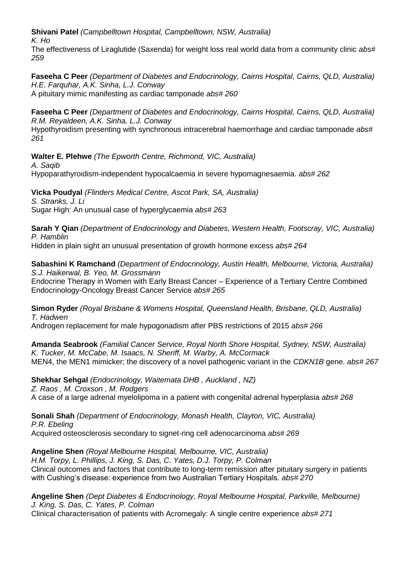**Shivani Patel** *(Campbelltown Hospital, Campbelltown, NSW, Australia)*

*K. Ho*

The effectiveness of Liraglutide (Saxenda) for weight loss real world data from a community clinic *abs# 259* 

**Faseeha C Peer** *(Department of Diabetes and Endocrinology, Cairns Hospital, Cairns, QLD, Australia) H.E. Farquhar, A.K. Sinha, L.J. Conway* A pituitary mimic manifesting as cardiac tamponade *abs# 260* 

**Faseeha C Peer** *(Department of Diabetes and Endocrinology, Cairns Hospital, Cairns, QLD, Australia) R.M. Reyaldeen, A.K. Sinha, L.J. Conway* Hypothyroidism presenting with synchronous intracerebral haemorrhage and cardiac tamponade *abs# 261* 

**Walter E. Plehwe** *(The Epworth Centre, Richmond, VIC, Australia) A. Saqib* Hypoparathyroidism-independent hypocalcaemia in severe hypomagnesaemia. *abs# 262* 

**Vicka Poudyal** *(Flinders Medical Centre, Ascot Park, SA, Australia) S. Stranks, J. Li* Sugar High: An unusual case of hyperglycaemia *abs# 263* 

**Sarah Y Qian** *(Department of Endocrinology and Diabetes, Western Health, Footscray, VIC, Australia) P. Hamblin*

Hidden in plain sight an unusual presentation of growth hormone excess *abs# 264* 

**Sabashini K Ramchand** *(Department of Endocrinology, Austin Health, Melbourne, Victoria, Australia) S.J. Haikerwal, B. Yeo, M. Grossmann*

Endocrine Therapy in Women with Early Breast Cancer – Experience of a Tertiary Centre Combined Endocrinology-Oncology Breast Cancer Service *abs# 265* 

**Simon Ryder** *(Royal Brisbane & Womens Hospital, Queensland Health, Brisbane, QLD, Australia) T. Hadwen*

Androgen replacement for male hypogonadism after PBS restrictions of 2015 *abs# 266* 

**Amanda Seabrook** *(Familial Cancer Service, Royal North Shore Hospital, Sydney, NSW, Australia) K. Tucker, M. McCabe, M. Isaacs, N. Sheriff, M. Warby, A. McCormack* MEN4, the MEN1 mimicker; the discovery of a novel pathogenic variant in the *CDKN1B* gene. *abs# 267* 

**Shekhar Sehgal** *(Endocrinology, Waitemata DHB , Auckland , NZ) Z. Raos , M. Croxson , M. Rodgers*  A case of a large adrenal myelolipoma in a patient with congenital adrenal hyperplasia *abs# 268* 

**Sonali Shah** *(Department of Endocrinology, Monash Health, Clayton, VIC, Australia) P.R. Ebeling* Acquired osteosclerosis secondary to signet-ring cell adenocarcinoma *abs# 269* 

**Angeline Shen** *(Royal Melbourne Hospital, Melbourne, VIC, Australia) H.M. Torpy, L. Phillips, J. King, S. Das, C. Yates, D.J. Torpy, P. Colman* Clinical outcomes and factors that contribute to long-term remission after pituitary surgery in patients with Cushing's disease: experience from two Australian Tertiary Hospitals. *abs# 270* 

**Angeline Shen** *(Dept Diabetes & Endocrinology, Royal Melbourne Hospital, Parkville, Melbourne) J. King, S. Das, C. Yates, P. Colman*

Clinical characterisation of patients with Acromegaly: A single centre experience *abs# 271*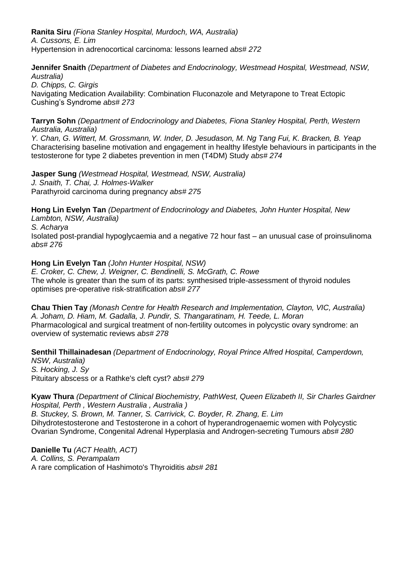**Ranita Siru** *(Fiona Stanley Hospital, Murdoch, WA, Australia) A. Cussons, E. Lim* Hypertension in adrenocortical carcinoma: lessons learned *abs# 272* 

**Jennifer Snaith** *(Department of Diabetes and Endocrinology, Westmead Hospital, Westmead, NSW, Australia)*

*D. Chipps, C. Girgis* Navigating Medication Availability: Combination Fluconazole and Metyrapone to Treat Ectopic Cushing's Syndrome *abs# 273* 

**Tarryn Sohn** *(Department of Endocrinology and Diabetes, Fiona Stanley Hospital, Perth, Western Australia, Australia)*

*Y. Chan, G. Wittert, M. Grossmann, W. Inder, D. Jesudason, M. Ng Tang Fui, K. Bracken, B. Yeap* Characterising baseline motivation and engagement in healthy lifestyle behaviours in participants in the testosterone for type 2 diabetes prevention in men (T4DM) Study *abs# 274* 

**Jasper Sung** *(Westmead Hospital, Westmead, NSW, Australia) J. Snaith, T. Chai, J. Holmes-Walker* Parathyroid carcinoma during pregnancy *abs# 275* 

**Hong Lin Evelyn Tan** *(Department of Endocrinology and Diabetes, John Hunter Hospital, New Lambton, NSW, Australia) S. Acharya* Isolated post-prandial hypoglycaemia and a negative 72 hour fast – an unusual case of proinsulinoma *abs# 276* 

**Hong Lin Evelyn Tan** *(John Hunter Hospital, NSW) E. Croker, C. Chew, J. Weigner, C. Bendinelli, S. McGrath, C. Rowe* The whole is greater than the sum of its parts: synthesised triple-assessment of thyroid nodules optimises pre-operative risk-stratification *abs# 277* 

**Chau Thien Tay** *(Monash Centre for Health Research and Implementation, Clayton, VIC, Australia) A. Joham, D. Hiam, M. Gadalla, J. Pundir, S. Thangaratinam, H. Teede, L. Moran* Pharmacological and surgical treatment of non-fertility outcomes in polycystic ovary syndrome: an overview of systematic reviews *abs# 278* 

**Senthil Thillainadesan** *(Department of Endocrinology, Royal Prince Alfred Hospital, Camperdown, NSW, Australia) S. Hocking, J. Sy* Pituitary abscess or a Rathke's cleft cyst? *abs# 279* 

**Kyaw Thura** *(Department of Clinical Biochemistry, PathWest, Queen Elizabeth II, Sir Charles Gairdner Hospital, Perth , Western Australia , Australia ) B. Stuckey, S. Brown, M. Tanner, S. Carrivick, C. Boyder, R. Zhang, E. Lim*

Dihydrotestosterone and Testosterone in a cohort of hyperandrogenaemic women with Polycystic Ovarian Syndrome, Congenital Adrenal Hyperplasia and Androgen-secreting Tumours *abs# 280* 

**Danielle Tu** *(ACT Health, ACT) A. Collins, S. Perampalam* A rare complication of Hashimoto's Thyroiditis *abs# 281*